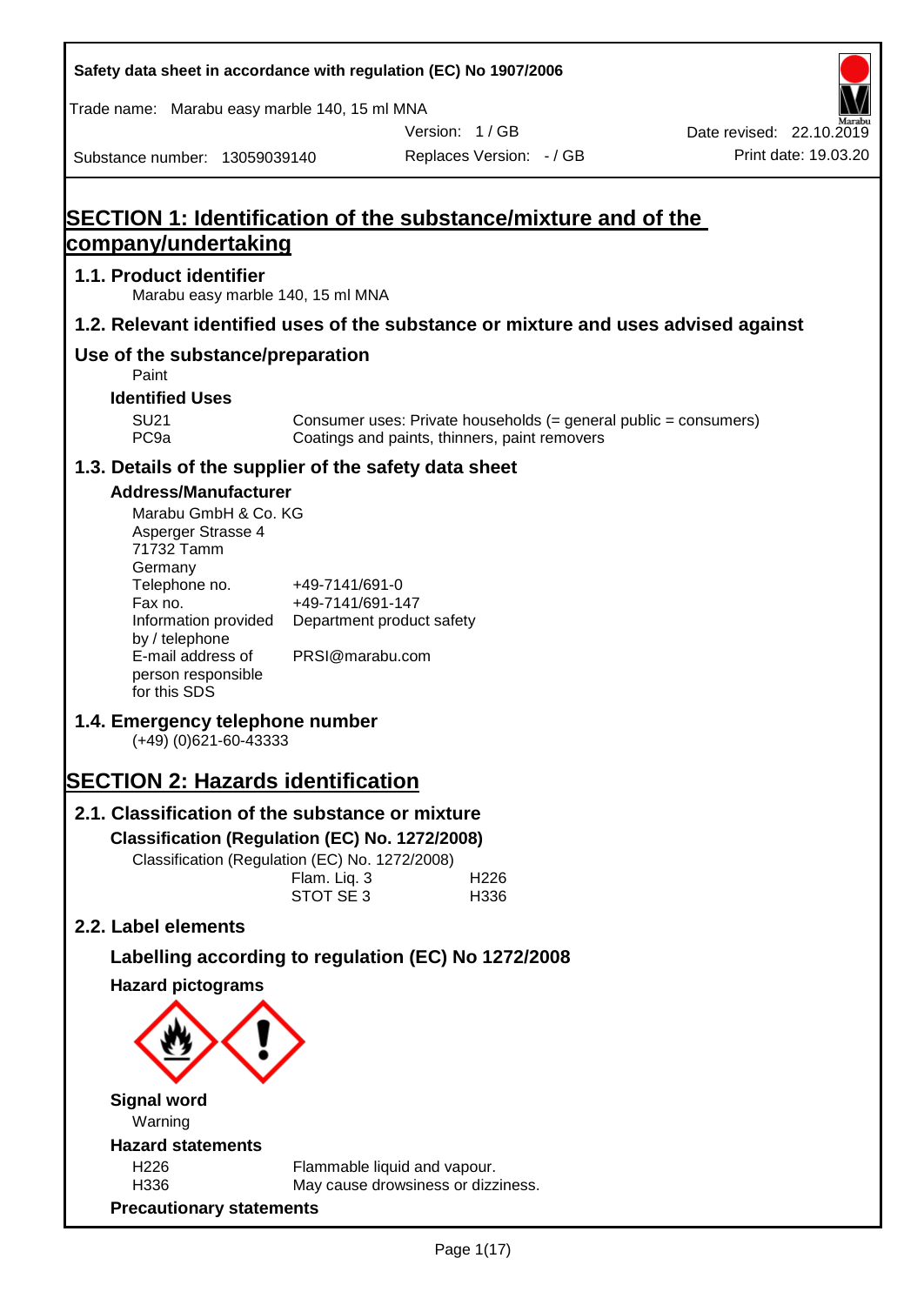| Safety data sheet in accordance with regulation (EC) No 1907/2006                  |                                    |                                                                    |                                                                  |                                                  |
|------------------------------------------------------------------------------------|------------------------------------|--------------------------------------------------------------------|------------------------------------------------------------------|--------------------------------------------------|
| Trade name: Marabu easy marble 140, 15 ml MNA                                      |                                    |                                                                    |                                                                  |                                                  |
| Substance number: 13059039140                                                      |                                    | Version: 1/GB<br>Replaces Version: - / GB                          |                                                                  | Date revised: 22.10.2019<br>Print date: 19.03.20 |
|                                                                                    |                                    |                                                                    |                                                                  |                                                  |
| SECTION 1: Identification of the substance/mixture and of the                      |                                    |                                                                    |                                                                  |                                                  |
| company/undertaking                                                                |                                    |                                                                    |                                                                  |                                                  |
| 1.1. Product identifier<br>Marabu easy marble 140, 15 ml MNA                       |                                    |                                                                    |                                                                  |                                                  |
| 1.2. Relevant identified uses of the substance or mixture and uses advised against |                                    |                                                                    |                                                                  |                                                  |
| Use of the substance/preparation<br>Paint                                          |                                    |                                                                    |                                                                  |                                                  |
| <b>Identified Uses</b>                                                             |                                    |                                                                    |                                                                  |                                                  |
| <b>SU21</b><br>PC <sub>9a</sub>                                                    |                                    | Coatings and paints, thinners, paint removers                      | Consumer uses: Private households (= general public = consumers) |                                                  |
| 1.3. Details of the supplier of the safety data sheet                              |                                    |                                                                    |                                                                  |                                                  |
| <b>Address/Manufacturer</b>                                                        |                                    |                                                                    |                                                                  |                                                  |
| Marabu GmbH & Co. KG                                                               |                                    |                                                                    |                                                                  |                                                  |
| Asperger Strasse 4<br>71732 Tamm                                                   |                                    |                                                                    |                                                                  |                                                  |
| Germany                                                                            |                                    |                                                                    |                                                                  |                                                  |
| Telephone no.<br>Fax no.                                                           | +49-7141/691-0<br>+49-7141/691-147 |                                                                    |                                                                  |                                                  |
| Information provided                                                               | Department product safety          |                                                                    |                                                                  |                                                  |
| by / telephone<br>E-mail address of                                                | PRSI@marabu.com                    |                                                                    |                                                                  |                                                  |
| person responsible                                                                 |                                    |                                                                    |                                                                  |                                                  |
| for this SDS                                                                       |                                    |                                                                    |                                                                  |                                                  |
| 1.4. Emergency telephone number<br>$(+49)$ (0)621-60-43333                         |                                    |                                                                    |                                                                  |                                                  |
| <b>SECTION 2: Hazards identification</b>                                           |                                    |                                                                    |                                                                  |                                                  |
| 2.1. Classification of the substance or mixture                                    |                                    |                                                                    |                                                                  |                                                  |
| Classification (Regulation (EC) No. 1272/2008)                                     |                                    |                                                                    |                                                                  |                                                  |
| Classification (Regulation (EC) No. 1272/2008)                                     |                                    |                                                                    |                                                                  |                                                  |
|                                                                                    | Flam. Liq. 3<br>STOT SE 3          | H226<br>H336                                                       |                                                                  |                                                  |
| 2.2. Label elements                                                                |                                    |                                                                    |                                                                  |                                                  |
| Labelling according to regulation (EC) No 1272/2008                                |                                    |                                                                    |                                                                  |                                                  |
| <b>Hazard pictograms</b>                                                           |                                    |                                                                    |                                                                  |                                                  |
|                                                                                    |                                    |                                                                    |                                                                  |                                                  |
|                                                                                    |                                    |                                                                    |                                                                  |                                                  |
| <b>Signal word</b>                                                                 |                                    |                                                                    |                                                                  |                                                  |
| Warning                                                                            |                                    |                                                                    |                                                                  |                                                  |
| <b>Hazard statements</b><br>H226                                                   |                                    |                                                                    |                                                                  |                                                  |
| H336                                                                               |                                    | Flammable liquid and vapour.<br>May cause drowsiness or dizziness. |                                                                  |                                                  |
| <b>Precautionary statements</b>                                                    |                                    |                                                                    |                                                                  |                                                  |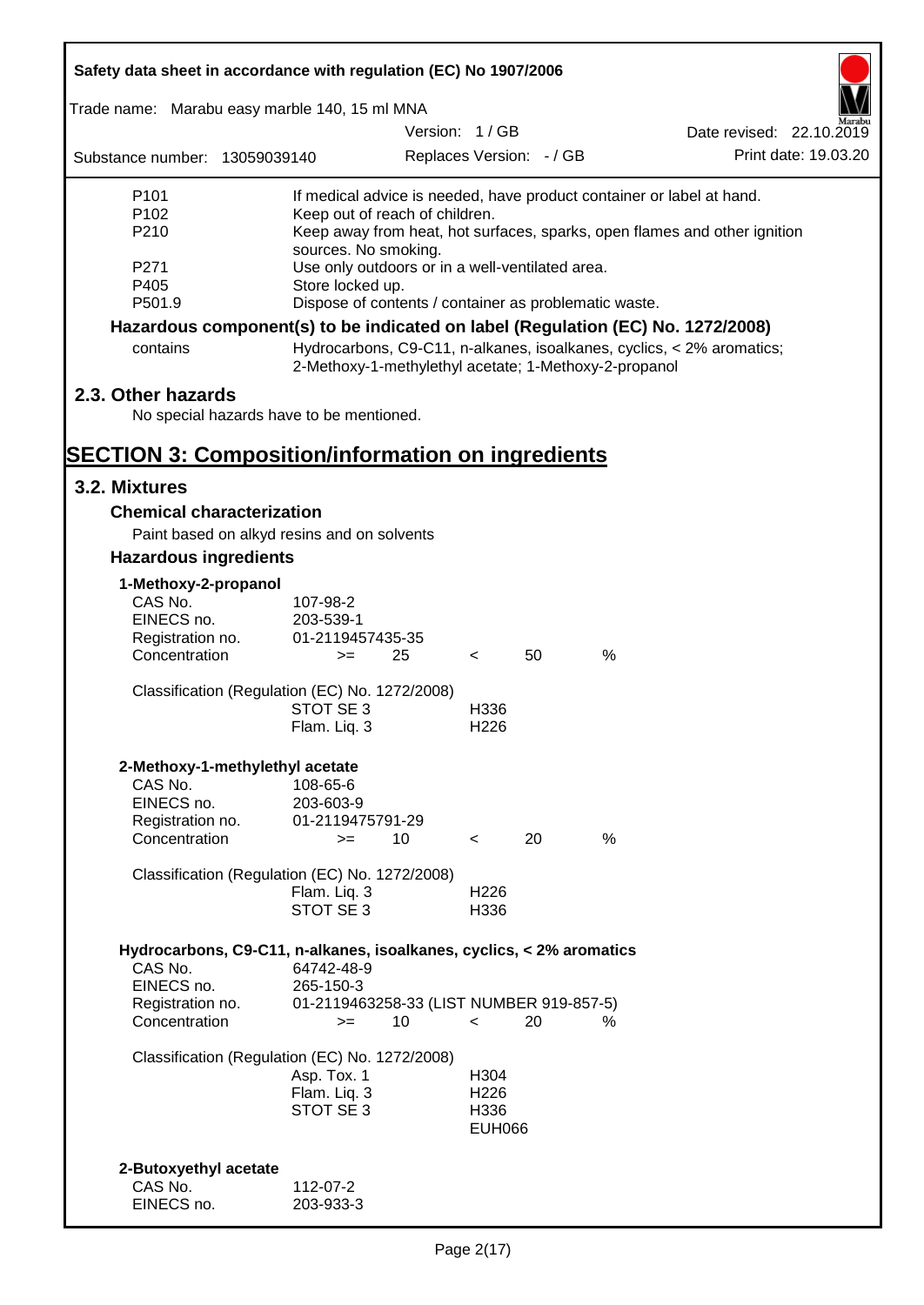| Safety data sheet in accordance with regulation (EC) No 1907/2006               |                                                       |               |                          |    |      |                                                                           |
|---------------------------------------------------------------------------------|-------------------------------------------------------|---------------|--------------------------|----|------|---------------------------------------------------------------------------|
| Trade name: Marabu easy marble 140, 15 ml MNA                                   |                                                       |               |                          |    |      |                                                                           |
|                                                                                 |                                                       | Version: 1/GB |                          |    |      | Date revised: 22.10.2019                                                  |
| Substance number: 13059039140                                                   |                                                       |               | Replaces Version: - / GB |    |      | Print date: 19.03.20                                                      |
| P <sub>101</sub>                                                                |                                                       |               |                          |    |      | If medical advice is needed, have product container or label at hand.     |
| P <sub>102</sub><br>P210                                                        | Keep out of reach of children.                        |               |                          |    |      |                                                                           |
|                                                                                 | sources. No smoking.                                  |               |                          |    |      | Keep away from heat, hot surfaces, sparks, open flames and other ignition |
| P <sub>271</sub>                                                                | Use only outdoors or in a well-ventilated area.       |               |                          |    |      |                                                                           |
| P405                                                                            | Store locked up.                                      |               |                          |    |      |                                                                           |
| P501.9                                                                          | Dispose of contents / container as problematic waste. |               |                          |    |      |                                                                           |
| Hazardous component(s) to be indicated on label (Regulation (EC) No. 1272/2008) |                                                       |               |                          |    |      |                                                                           |
| contains                                                                        | 2-Methoxy-1-methylethyl acetate; 1-Methoxy-2-propanol |               |                          |    |      | Hydrocarbons, C9-C11, n-alkanes, isoalkanes, cyclics, < 2% aromatics;     |
| 2.3. Other hazards                                                              |                                                       |               |                          |    |      |                                                                           |
| No special hazards have to be mentioned.                                        |                                                       |               |                          |    |      |                                                                           |
|                                                                                 |                                                       |               |                          |    |      |                                                                           |
| <b>SECTION 3: Composition/information on ingredients</b>                        |                                                       |               |                          |    |      |                                                                           |
| 3.2. Mixtures                                                                   |                                                       |               |                          |    |      |                                                                           |
| <b>Chemical characterization</b>                                                |                                                       |               |                          |    |      |                                                                           |
| Paint based on alkyd resins and on solvents                                     |                                                       |               |                          |    |      |                                                                           |
| <b>Hazardous ingredients</b>                                                    |                                                       |               |                          |    |      |                                                                           |
| 1-Methoxy-2-propanol                                                            |                                                       |               |                          |    |      |                                                                           |
| CAS No.                                                                         | 107-98-2                                              |               |                          |    |      |                                                                           |
| EINECS no.                                                                      | 203-539-1                                             |               |                          |    |      |                                                                           |
| Registration no.                                                                | 01-2119457435-35                                      |               |                          |    |      |                                                                           |
| Concentration                                                                   | $>=$                                                  | 25            | $\lt$                    | 50 | $\%$ |                                                                           |
| Classification (Regulation (EC) No. 1272/2008)                                  |                                                       |               |                          |    |      |                                                                           |
|                                                                                 | STOT SE 3                                             |               | H336                     |    |      |                                                                           |
|                                                                                 | Flam. Liq. 3                                          |               | H <sub>226</sub>         |    |      |                                                                           |
|                                                                                 |                                                       |               |                          |    |      |                                                                           |
| 2-Methoxy-1-methylethyl acetate<br>CAS No.                                      | 108-65-6                                              |               |                          |    |      |                                                                           |
| EINECS no.                                                                      | 203-603-9                                             |               |                          |    |      |                                                                           |
| Registration no.                                                                | 01-2119475791-29                                      |               |                          |    |      |                                                                           |
| Concentration                                                                   | $>=$                                                  | 10            | $\prec$                  | 20 | %    |                                                                           |
| Classification (Regulation (EC) No. 1272/2008)                                  |                                                       |               |                          |    |      |                                                                           |
|                                                                                 | Flam. Liq. 3                                          |               | H <sub>226</sub>         |    |      |                                                                           |
|                                                                                 | STOT SE 3                                             |               | H336                     |    |      |                                                                           |
|                                                                                 |                                                       |               |                          |    |      |                                                                           |
| Hydrocarbons, C9-C11, n-alkanes, isoalkanes, cyclics, < 2% aromatics<br>CAS No. |                                                       |               |                          |    |      |                                                                           |
| EINECS no.                                                                      | 64742-48-9<br>265-150-3                               |               |                          |    |      |                                                                           |
| Registration no.                                                                | 01-2119463258-33 (LIST NUMBER 919-857-5)              |               |                          |    |      |                                                                           |
| Concentration                                                                   | $>=$                                                  | 10            | $\overline{\phantom{0}}$ | 20 | %    |                                                                           |
|                                                                                 |                                                       |               |                          |    |      |                                                                           |
| Classification (Regulation (EC) No. 1272/2008)                                  | Asp. Tox. 1                                           |               | H304                     |    |      |                                                                           |
|                                                                                 | Flam. Liq. 3                                          |               | H <sub>226</sub>         |    |      |                                                                           |
|                                                                                 | STOT SE 3                                             |               | H336                     |    |      |                                                                           |
|                                                                                 |                                                       |               | <b>EUH066</b>            |    |      |                                                                           |
|                                                                                 |                                                       |               |                          |    |      |                                                                           |
| 2-Butoxyethyl acetate                                                           |                                                       |               |                          |    |      |                                                                           |
| CAS No.                                                                         | 112-07-2                                              |               |                          |    |      |                                                                           |
| EINECS no.                                                                      | 203-933-3                                             |               |                          |    |      |                                                                           |

ī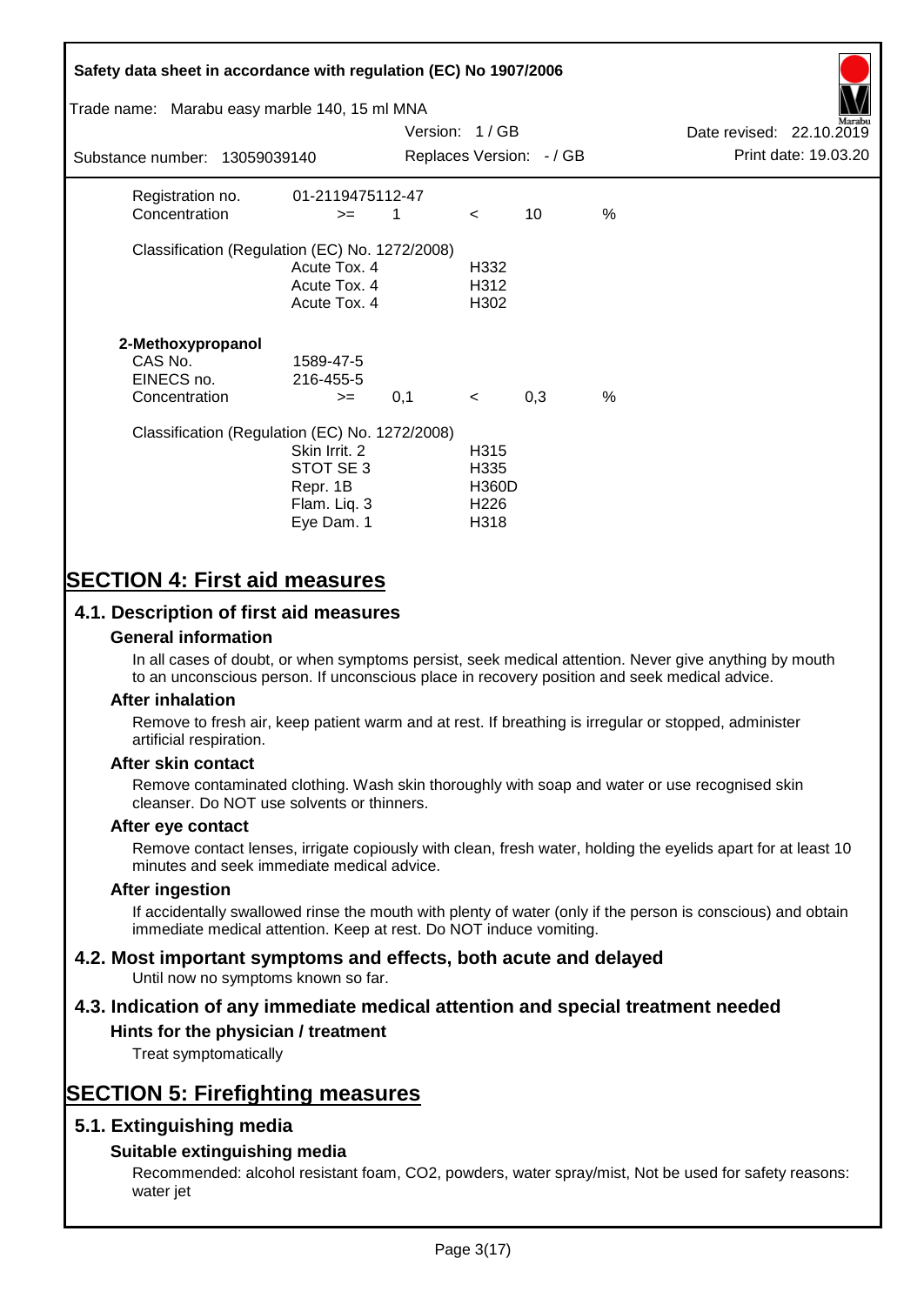# **Safety data sheet in accordance with regulation (EC) No 1907/2006** Substance number: 13059039140 Version: 1 / GB Replaces Version:  $-$  / GB Print date: 19.03.20 Date revised: 22.10.2019 Trade name: Marabu easy marble 140, 15 ml MNA Registration no. 01-2119475112-47  $\text{Concentration}$   $\geq$  1 < 10 % Classification (Regulation (EC) No. 1272/2008) Acute Tox. 4 H332 Acute Tox. 4 H312 Acute Tox. 4 H302 **2-Methoxypropanol** CAS No. 1589-47-5 EINECS no. 216-455-5  $\text{Concentration}$   $\rightarrow$  0.1 < 0.3 % Classification (Regulation (EC) No. 1272/2008) Skin Irrit. 2 H315 STOT SE 3 H335 Repr. 1B H360D Flam. Liq. 3 H226 Eye Dam. 1 H318

# **SECTION 4: First aid measures**

## **4.1. Description of first aid measures**

#### **General information**

In all cases of doubt, or when symptoms persist, seek medical attention. Never give anything by mouth to an unconscious person. If unconscious place in recovery position and seek medical advice.

#### **After inhalation**

Remove to fresh air, keep patient warm and at rest. If breathing is irregular or stopped, administer artificial respiration.

#### **After skin contact**

Remove contaminated clothing. Wash skin thoroughly with soap and water or use recognised skin cleanser. Do NOT use solvents or thinners.

#### **After eye contact**

Remove contact lenses, irrigate copiously with clean, fresh water, holding the eyelids apart for at least 10 minutes and seek immediate medical advice.

#### **After ingestion**

If accidentally swallowed rinse the mouth with plenty of water (only if the person is conscious) and obtain immediate medical attention. Keep at rest. Do NOT induce vomiting.

# **4.2. Most important symptoms and effects, both acute and delayed**

Until now no symptoms known so far.

# **4.3. Indication of any immediate medical attention and special treatment needed**

#### **Hints for the physician / treatment**

Treat symptomatically

# **SECTION 5: Firefighting measures**

## **5.1. Extinguishing media**

## **Suitable extinguishing media**

Recommended: alcohol resistant foam, CO2, powders, water spray/mist, Not be used for safety reasons: water jet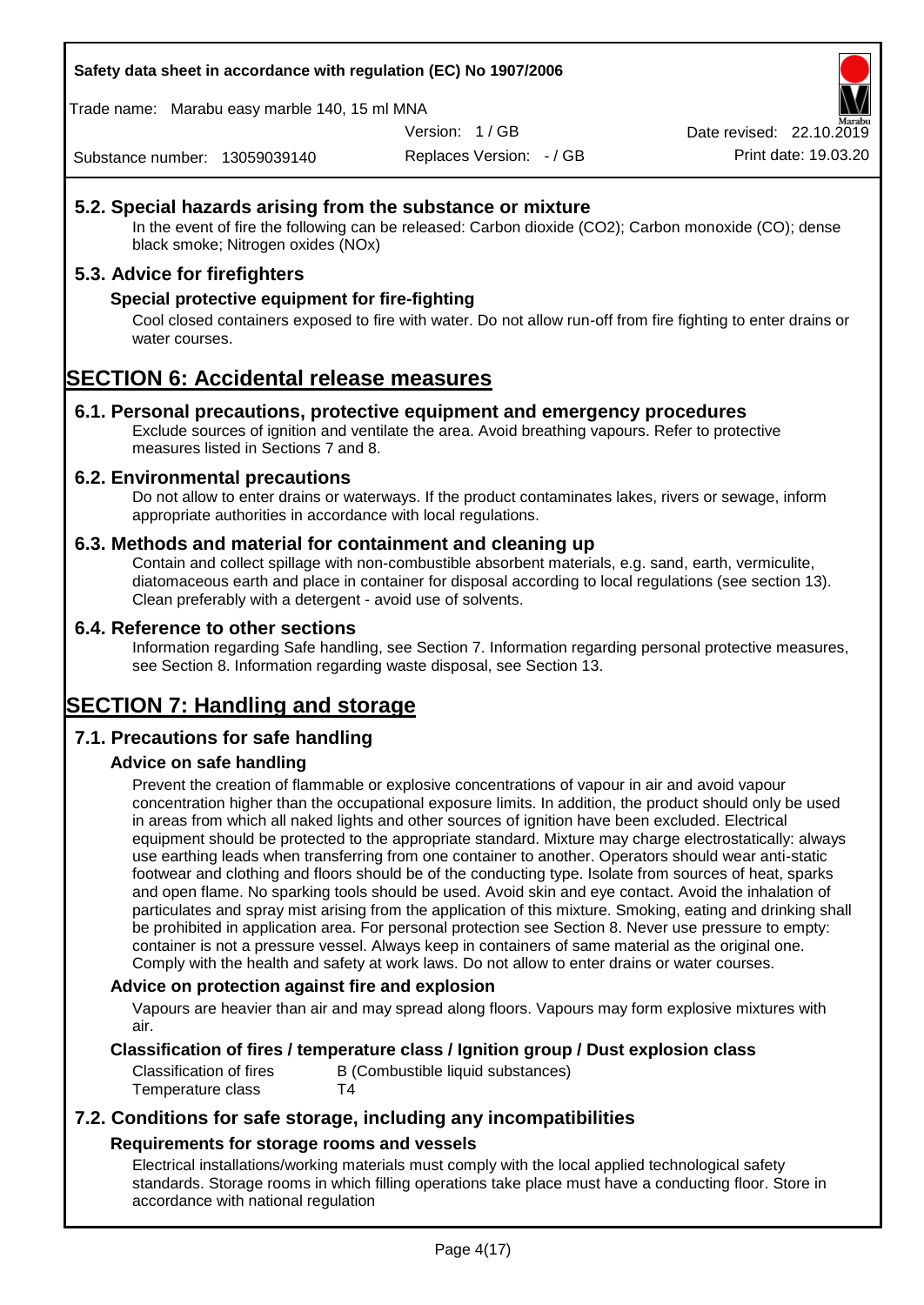**Safety data sheet in accordance with regulation (EC) No 1907/2006**

Trade name: Marabu easy marble 140, 15 ml MNA

Version: 1 / GB

Replaces Version: - / GB Print date: 19.03.20 Date revised: 22.10.2

Substance number: 13059039140

## **5.2. Special hazards arising from the substance or mixture**

In the event of fire the following can be released: Carbon dioxide (CO2); Carbon monoxide (CO); dense black smoke; Nitrogen oxides (NOx)

## **5.3. Advice for firefighters**

#### **Special protective equipment for fire-fighting**

Cool closed containers exposed to fire with water. Do not allow run-off from fire fighting to enter drains or water courses.

# **SECTION 6: Accidental release measures**

#### **6.1. Personal precautions, protective equipment and emergency procedures**

Exclude sources of ignition and ventilate the area. Avoid breathing vapours. Refer to protective measures listed in Sections 7 and 8.

#### **6.2. Environmental precautions**

Do not allow to enter drains or waterways. If the product contaminates lakes, rivers or sewage, inform appropriate authorities in accordance with local regulations.

#### **6.3. Methods and material for containment and cleaning up**

Contain and collect spillage with non-combustible absorbent materials, e.g. sand, earth, vermiculite, diatomaceous earth and place in container for disposal according to local regulations (see section 13). Clean preferably with a detergent - avoid use of solvents.

#### **6.4. Reference to other sections**

Information regarding Safe handling, see Section 7. Information regarding personal protective measures, see Section 8. Information regarding waste disposal, see Section 13.

# **SECTION 7: Handling and storage**

## **7.1. Precautions for safe handling**

## **Advice on safe handling**

Prevent the creation of flammable or explosive concentrations of vapour in air and avoid vapour concentration higher than the occupational exposure limits. In addition, the product should only be used in areas from which all naked lights and other sources of ignition have been excluded. Electrical equipment should be protected to the appropriate standard. Mixture may charge electrostatically: always use earthing leads when transferring from one container to another. Operators should wear anti-static footwear and clothing and floors should be of the conducting type. Isolate from sources of heat, sparks and open flame. No sparking tools should be used. Avoid skin and eye contact. Avoid the inhalation of particulates and spray mist arising from the application of this mixture. Smoking, eating and drinking shall be prohibited in application area. For personal protection see Section 8. Never use pressure to empty: container is not a pressure vessel. Always keep in containers of same material as the original one. Comply with the health and safety at work laws. Do not allow to enter drains or water courses.

#### **Advice on protection against fire and explosion**

Vapours are heavier than air and may spread along floors. Vapours may form explosive mixtures with air.

#### **Classification of fires / temperature class / Ignition group / Dust explosion class**

Classification of fires B (Combustible liquid substances) Temperature class T4

## **7.2. Conditions for safe storage, including any incompatibilities Requirements for storage rooms and vessels**

Electrical installations/working materials must comply with the local applied technological safety standards. Storage rooms in which filling operations take place must have a conducting floor. Store in accordance with national regulation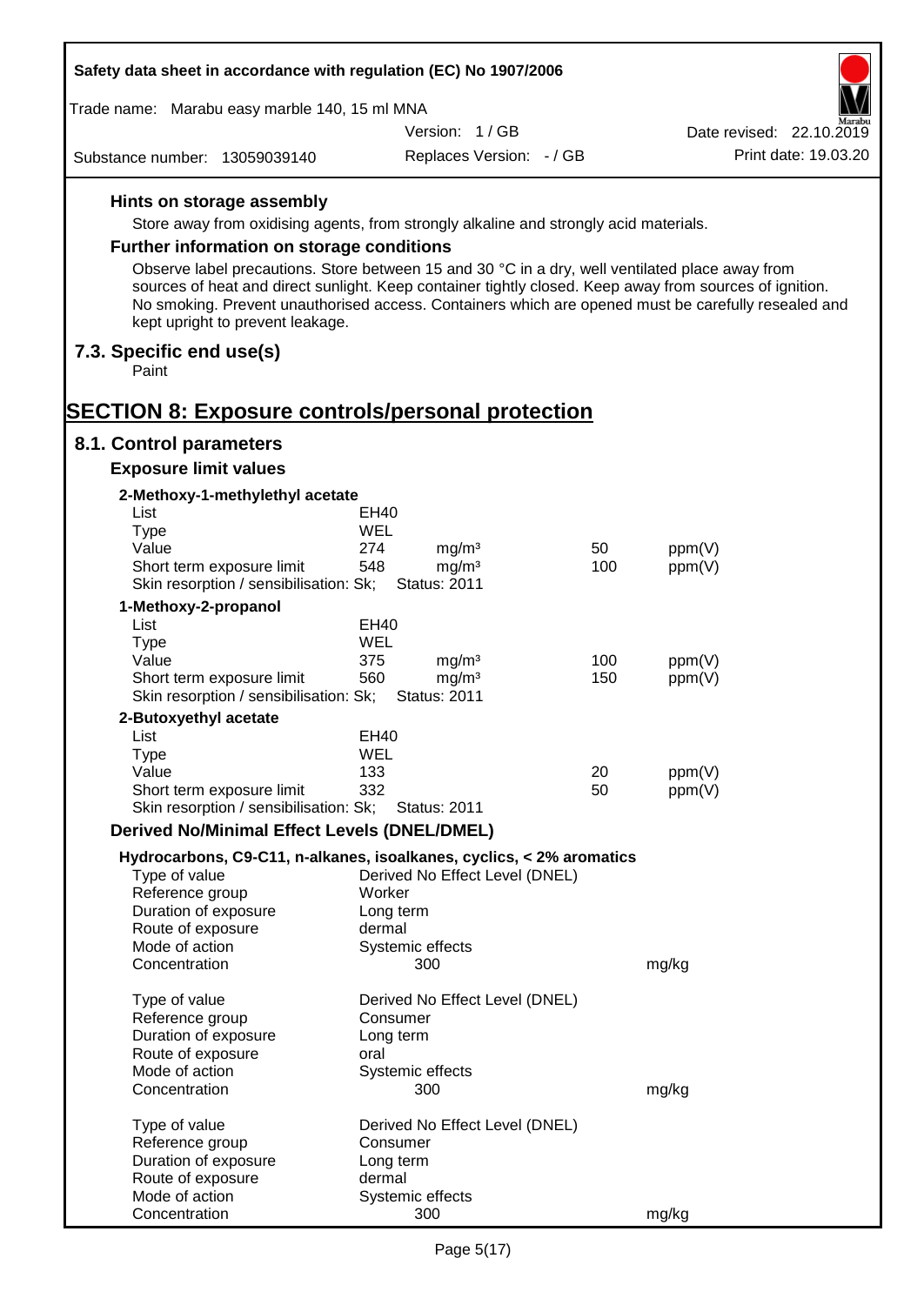| Safety data sheet in accordance with regulation (EC) No 1907/2006                                                                                                                                                                                  |             |                                          |     |        |                          |
|----------------------------------------------------------------------------------------------------------------------------------------------------------------------------------------------------------------------------------------------------|-------------|------------------------------------------|-----|--------|--------------------------|
| Trade name: Marabu easy marble 140, 15 ml MNA                                                                                                                                                                                                      |             |                                          |     |        |                          |
|                                                                                                                                                                                                                                                    |             | Version: 1/GB                            |     |        | Date revised: 22.10.2019 |
| Substance number: 13059039140                                                                                                                                                                                                                      |             | Replaces Version: - / GB                 |     |        | Print date: 19.03.20     |
| Hints on storage assembly                                                                                                                                                                                                                          |             |                                          |     |        |                          |
| Store away from oxidising agents, from strongly alkaline and strongly acid materials.                                                                                                                                                              |             |                                          |     |        |                          |
| <b>Further information on storage conditions</b>                                                                                                                                                                                                   |             |                                          |     |        |                          |
| Observe label precautions. Store between 15 and 30 °C in a dry, well ventilated place away from                                                                                                                                                    |             |                                          |     |        |                          |
| sources of heat and direct sunlight. Keep container tightly closed. Keep away from sources of ignition.<br>No smoking. Prevent unauthorised access. Containers which are opened must be carefully resealed and<br>kept upright to prevent leakage. |             |                                          |     |        |                          |
| 7.3. Specific end use(s)<br>Paint                                                                                                                                                                                                                  |             |                                          |     |        |                          |
| <b>SECTION 8: Exposure controls/personal protection</b>                                                                                                                                                                                            |             |                                          |     |        |                          |
| 8.1. Control parameters                                                                                                                                                                                                                            |             |                                          |     |        |                          |
| <b>Exposure limit values</b>                                                                                                                                                                                                                       |             |                                          |     |        |                          |
| 2-Methoxy-1-methylethyl acetate<br>List                                                                                                                                                                                                            | EH40        |                                          |     |        |                          |
| <b>Type</b>                                                                                                                                                                                                                                        | WEL         |                                          |     |        |                          |
| Value                                                                                                                                                                                                                                              | 274         | mg/m <sup>3</sup>                        | 50  | ppm(V) |                          |
| Short term exposure limit                                                                                                                                                                                                                          | 548         | mg/m <sup>3</sup>                        | 100 | ppm(V) |                          |
| Skin resorption / sensibilisation: Sk;                                                                                                                                                                                                             |             | <b>Status: 2011</b>                      |     |        |                          |
| 1-Methoxy-2-propanol<br>List                                                                                                                                                                                                                       | EH40        |                                          |     |        |                          |
| <b>Type</b>                                                                                                                                                                                                                                        | WEL         |                                          |     |        |                          |
| Value                                                                                                                                                                                                                                              | 375         | mg/m <sup>3</sup>                        | 100 | ppm(V) |                          |
| Short term exposure limit<br>Skin resorption / sensibilisation: Sk;                                                                                                                                                                                | 560         | mg/m <sup>3</sup><br><b>Status: 2011</b> | 150 | ppm(V) |                          |
| 2-Butoxyethyl acetate                                                                                                                                                                                                                              |             |                                          |     |        |                          |
| List                                                                                                                                                                                                                                               | <b>EH40</b> |                                          |     |        |                          |
| Type                                                                                                                                                                                                                                               | WEL         |                                          |     |        |                          |
| Value                                                                                                                                                                                                                                              | 133         |                                          | 20  | ppm(V) |                          |
| Short term exposure limit<br>Skin resorption / sensibilisation: Sk;                                                                                                                                                                                | 332         | <b>Status: 2011</b>                      | 50  | ppm(V) |                          |
| <b>Derived No/Minimal Effect Levels (DNEL/DMEL)</b>                                                                                                                                                                                                |             |                                          |     |        |                          |
|                                                                                                                                                                                                                                                    |             |                                          |     |        |                          |
| Hydrocarbons, C9-C11, n-alkanes, isoalkanes, cyclics, < 2% aromatics<br>Type of value                                                                                                                                                              |             | Derived No Effect Level (DNEL)           |     |        |                          |
| Reference group                                                                                                                                                                                                                                    | Worker      |                                          |     |        |                          |
| Duration of exposure                                                                                                                                                                                                                               | Long term   |                                          |     |        |                          |
| Route of exposure                                                                                                                                                                                                                                  | dermal      |                                          |     |        |                          |
| Mode of action<br>Concentration                                                                                                                                                                                                                    |             | Systemic effects<br>300                  |     | mg/kg  |                          |
| Type of value                                                                                                                                                                                                                                      |             | Derived No Effect Level (DNEL)           |     |        |                          |
| Reference group                                                                                                                                                                                                                                    | Consumer    |                                          |     |        |                          |
| Duration of exposure                                                                                                                                                                                                                               | Long term   |                                          |     |        |                          |
| Route of exposure                                                                                                                                                                                                                                  | oral        |                                          |     |        |                          |
| Mode of action                                                                                                                                                                                                                                     |             | Systemic effects                         |     |        |                          |
| Concentration                                                                                                                                                                                                                                      |             | 300                                      |     | mg/kg  |                          |
| Type of value                                                                                                                                                                                                                                      |             | Derived No Effect Level (DNEL)           |     |        |                          |
| Reference group                                                                                                                                                                                                                                    | Consumer    |                                          |     |        |                          |
| Duration of exposure                                                                                                                                                                                                                               | Long term   |                                          |     |        |                          |
| Route of exposure<br>Mode of action                                                                                                                                                                                                                | dermal      |                                          |     |        |                          |
| Concentration                                                                                                                                                                                                                                      |             | Systemic effects<br>300                  |     | mg/kg  |                          |
|                                                                                                                                                                                                                                                    |             |                                          |     |        |                          |

Г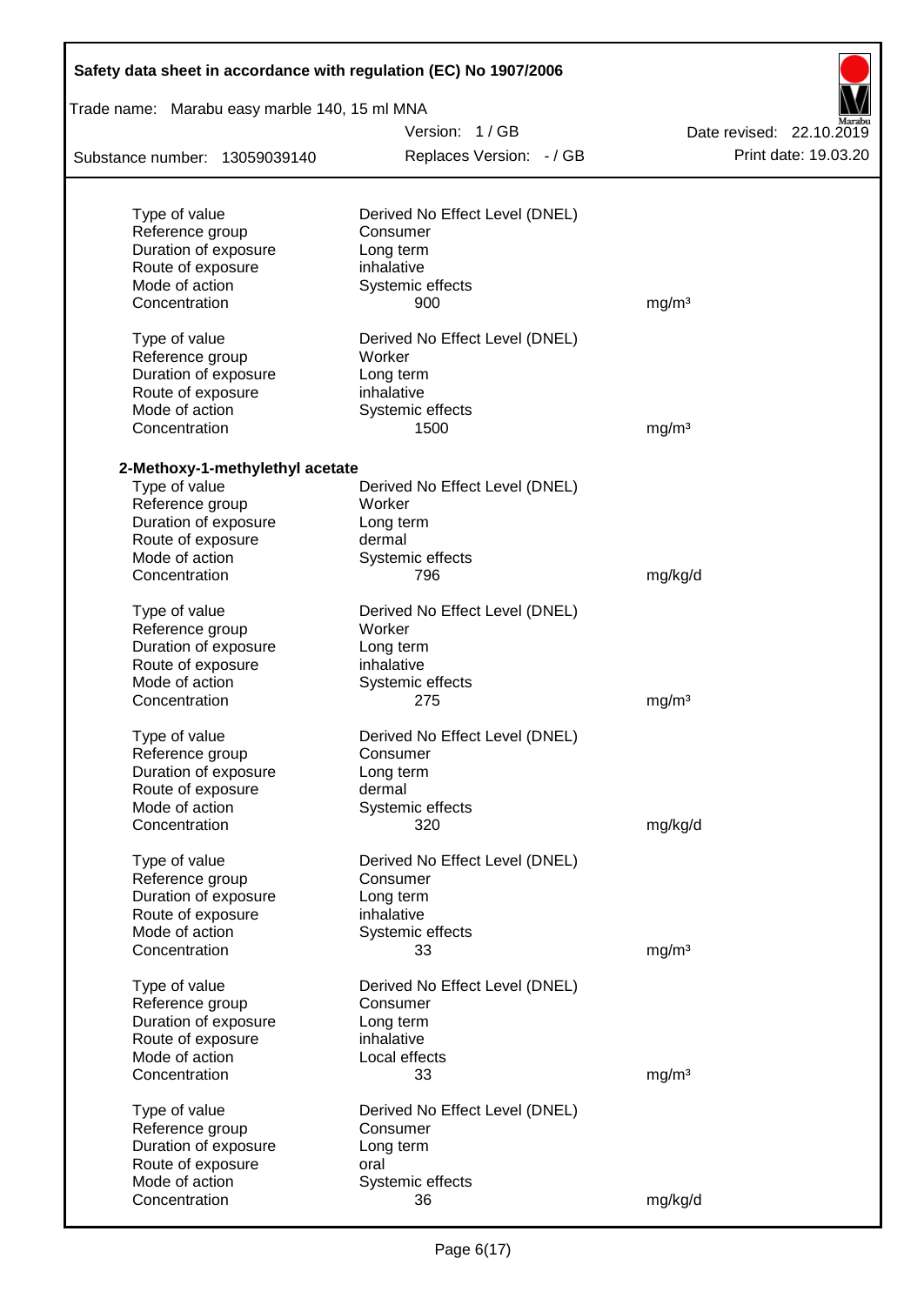| Trade name: Marabu easy marble 140, 15 ml MNA    |                                |                          |  |  |  |  |
|--------------------------------------------------|--------------------------------|--------------------------|--|--|--|--|
|                                                  | Version: 1/GB                  | Date revised: 22.10.2019 |  |  |  |  |
| Substance number: 13059039140                    | Replaces Version: - / GB       | Print date: 19.03.20     |  |  |  |  |
|                                                  |                                |                          |  |  |  |  |
| Type of value                                    | Derived No Effect Level (DNEL) |                          |  |  |  |  |
| Reference group                                  | Consumer                       |                          |  |  |  |  |
| Duration of exposure<br>Route of exposure        | Long term<br>inhalative        |                          |  |  |  |  |
| Mode of action                                   | Systemic effects               |                          |  |  |  |  |
| Concentration                                    | 900                            | mg/m <sup>3</sup>        |  |  |  |  |
| Type of value                                    | Derived No Effect Level (DNEL) |                          |  |  |  |  |
| Reference group                                  | Worker                         |                          |  |  |  |  |
| Duration of exposure                             | Long term                      |                          |  |  |  |  |
| Route of exposure                                | inhalative                     |                          |  |  |  |  |
| Mode of action                                   | Systemic effects               |                          |  |  |  |  |
| Concentration                                    | 1500                           | mg/m <sup>3</sup>        |  |  |  |  |
|                                                  |                                |                          |  |  |  |  |
| 2-Methoxy-1-methylethyl acetate<br>Type of value | Derived No Effect Level (DNEL) |                          |  |  |  |  |
| Reference group                                  | Worker                         |                          |  |  |  |  |
| Duration of exposure                             | Long term                      |                          |  |  |  |  |
| Route of exposure                                | dermal                         |                          |  |  |  |  |
| Mode of action                                   | Systemic effects               |                          |  |  |  |  |
| Concentration                                    | 796                            | mg/kg/d                  |  |  |  |  |
| Type of value                                    | Derived No Effect Level (DNEL) |                          |  |  |  |  |
| Reference group                                  | Worker                         |                          |  |  |  |  |
| Duration of exposure                             | Long term                      |                          |  |  |  |  |
| Route of exposure                                | inhalative                     |                          |  |  |  |  |
| Mode of action                                   | Systemic effects               |                          |  |  |  |  |
| Concentration                                    | 275                            | mg/m <sup>3</sup>        |  |  |  |  |
| Type of value                                    | Derived No Effect Level (DNEL) |                          |  |  |  |  |
| Reference group                                  | Consumer                       |                          |  |  |  |  |
| Duration of exposure                             | Long term                      |                          |  |  |  |  |
| Route of exposure                                | dermal                         |                          |  |  |  |  |
| Mode of action                                   | Systemic effects               |                          |  |  |  |  |
| Concentration                                    | 320                            | mg/kg/d                  |  |  |  |  |
| Type of value                                    | Derived No Effect Level (DNEL) |                          |  |  |  |  |
| Reference group                                  | Consumer                       |                          |  |  |  |  |
| Duration of exposure                             | Long term                      |                          |  |  |  |  |
| Route of exposure                                | inhalative                     |                          |  |  |  |  |
| Mode of action                                   | Systemic effects               |                          |  |  |  |  |
| Concentration                                    | 33                             | mg/m <sup>3</sup>        |  |  |  |  |
| Type of value                                    | Derived No Effect Level (DNEL) |                          |  |  |  |  |
| Reference group                                  | Consumer                       |                          |  |  |  |  |
| Duration of exposure                             | Long term                      |                          |  |  |  |  |
| Route of exposure                                | inhalative                     |                          |  |  |  |  |
| Mode of action                                   | Local effects                  |                          |  |  |  |  |
| Concentration                                    | 33                             | mg/m <sup>3</sup>        |  |  |  |  |
| Type of value                                    | Derived No Effect Level (DNEL) |                          |  |  |  |  |
| Reference group                                  | Consumer                       |                          |  |  |  |  |
| Duration of exposure                             | Long term                      |                          |  |  |  |  |
| Route of exposure                                | oral                           |                          |  |  |  |  |
| Mode of action                                   | Systemic effects               |                          |  |  |  |  |
| Concentration                                    | 36                             | mg/kg/d                  |  |  |  |  |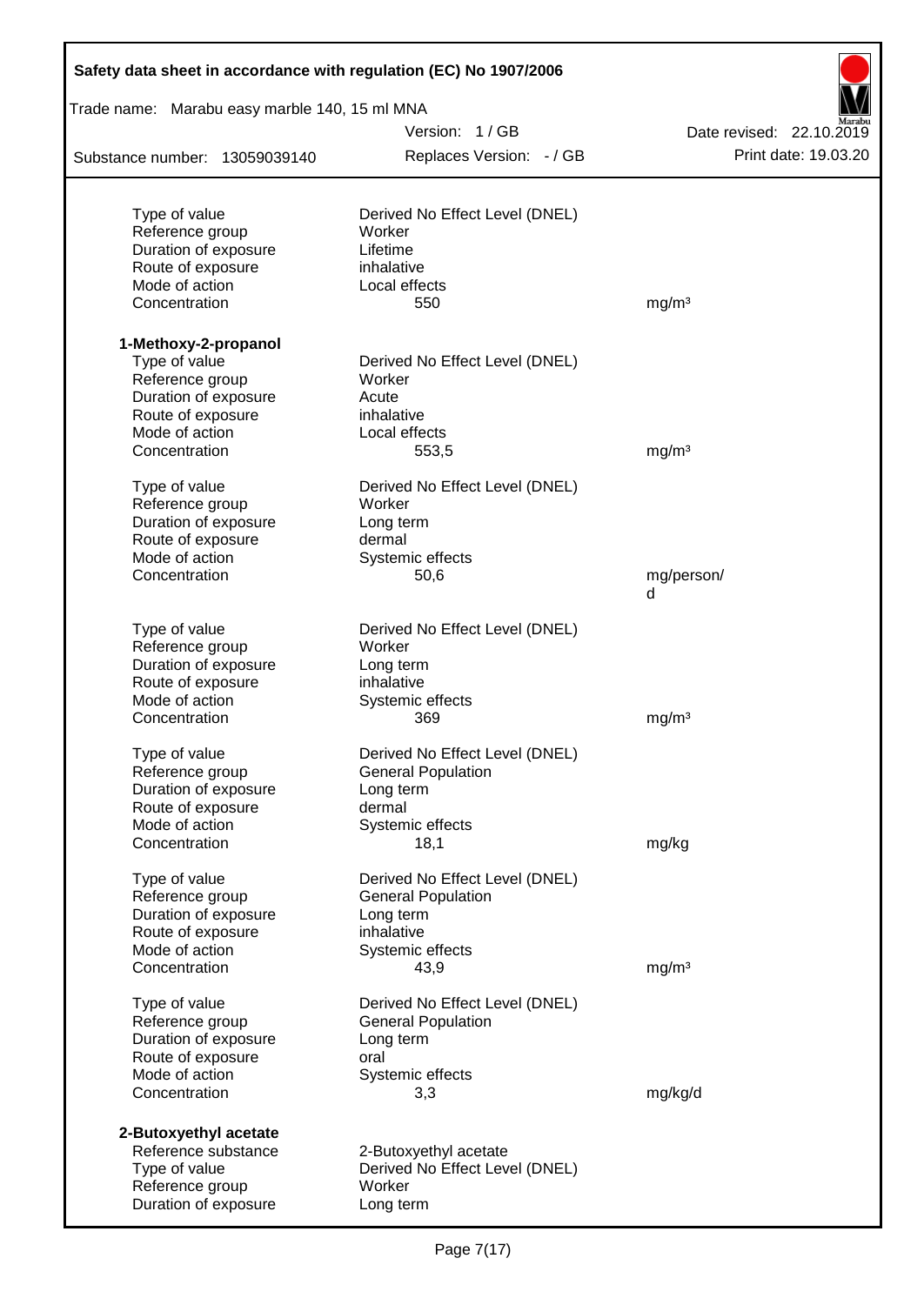| Safety data sheet in accordance with regulation (EC) No 1907/2006 |                                          |                          |
|-------------------------------------------------------------------|------------------------------------------|--------------------------|
| Trade name: Marabu easy marble 140, 15 ml MNA                     |                                          |                          |
|                                                                   | Version: 1/GB                            | Date revised: 22.10.2019 |
| Substance number: 13059039140                                     | Replaces Version: - / GB                 | Print date: 19.03.20     |
|                                                                   |                                          |                          |
| Type of value                                                     | Derived No Effect Level (DNEL)<br>Worker |                          |
| Reference group<br>Duration of exposure                           | Lifetime                                 |                          |
| Route of exposure                                                 | inhalative                               |                          |
| Mode of action                                                    | Local effects                            |                          |
| Concentration                                                     | 550                                      | mg/m <sup>3</sup>        |
| 1-Methoxy-2-propanol                                              |                                          |                          |
| Type of value                                                     | Derived No Effect Level (DNEL)           |                          |
| Reference group                                                   | Worker                                   |                          |
| Duration of exposure                                              | Acute                                    |                          |
| Route of exposure                                                 | inhalative                               |                          |
| Mode of action                                                    | Local effects                            |                          |
| Concentration                                                     | 553,5                                    | mg/m <sup>3</sup>        |
| Type of value                                                     | Derived No Effect Level (DNEL)           |                          |
| Reference group                                                   | Worker                                   |                          |
| Duration of exposure                                              | Long term                                |                          |
| Route of exposure                                                 | dermal                                   |                          |
| Mode of action                                                    | Systemic effects                         |                          |
| Concentration                                                     | 50,6                                     | mg/person/<br>d          |
| Type of value                                                     | Derived No Effect Level (DNEL)           |                          |
| Reference group                                                   | Worker                                   |                          |
| Duration of exposure                                              | Long term                                |                          |
| Route of exposure                                                 | inhalative                               |                          |
| Mode of action                                                    | Systemic effects                         |                          |
| Concentration                                                     | 369                                      | mg/m <sup>3</sup>        |
| Type of value                                                     | Derived No Effect Level (DNEL)           |                          |
| Reference group                                                   | <b>General Population</b>                |                          |
| Duration of exposure                                              | Long term                                |                          |
| Route of exposure                                                 | dermal                                   |                          |
| Mode of action                                                    | Systemic effects                         |                          |
| Concentration                                                     | 18,1                                     | mg/kg                    |
| Type of value                                                     | Derived No Effect Level (DNEL)           |                          |
| Reference group                                                   | <b>General Population</b>                |                          |
| Duration of exposure                                              | Long term                                |                          |
| Route of exposure                                                 | inhalative                               |                          |
| Mode of action<br>Concentration                                   | Systemic effects<br>43,9                 | mg/m <sup>3</sup>        |
| Type of value                                                     | Derived No Effect Level (DNEL)           |                          |
| Reference group                                                   | <b>General Population</b>                |                          |
| Duration of exposure                                              | Long term                                |                          |
| Route of exposure                                                 | oral                                     |                          |
| Mode of action                                                    | Systemic effects                         |                          |
| Concentration                                                     | 3,3                                      | mg/kg/d                  |
| 2-Butoxyethyl acetate                                             |                                          |                          |
| Reference substance                                               | 2-Butoxyethyl acetate                    |                          |
| Type of value                                                     | Derived No Effect Level (DNEL)           |                          |
| Reference group                                                   | Worker                                   |                          |
| Duration of exposure                                              | Long term                                |                          |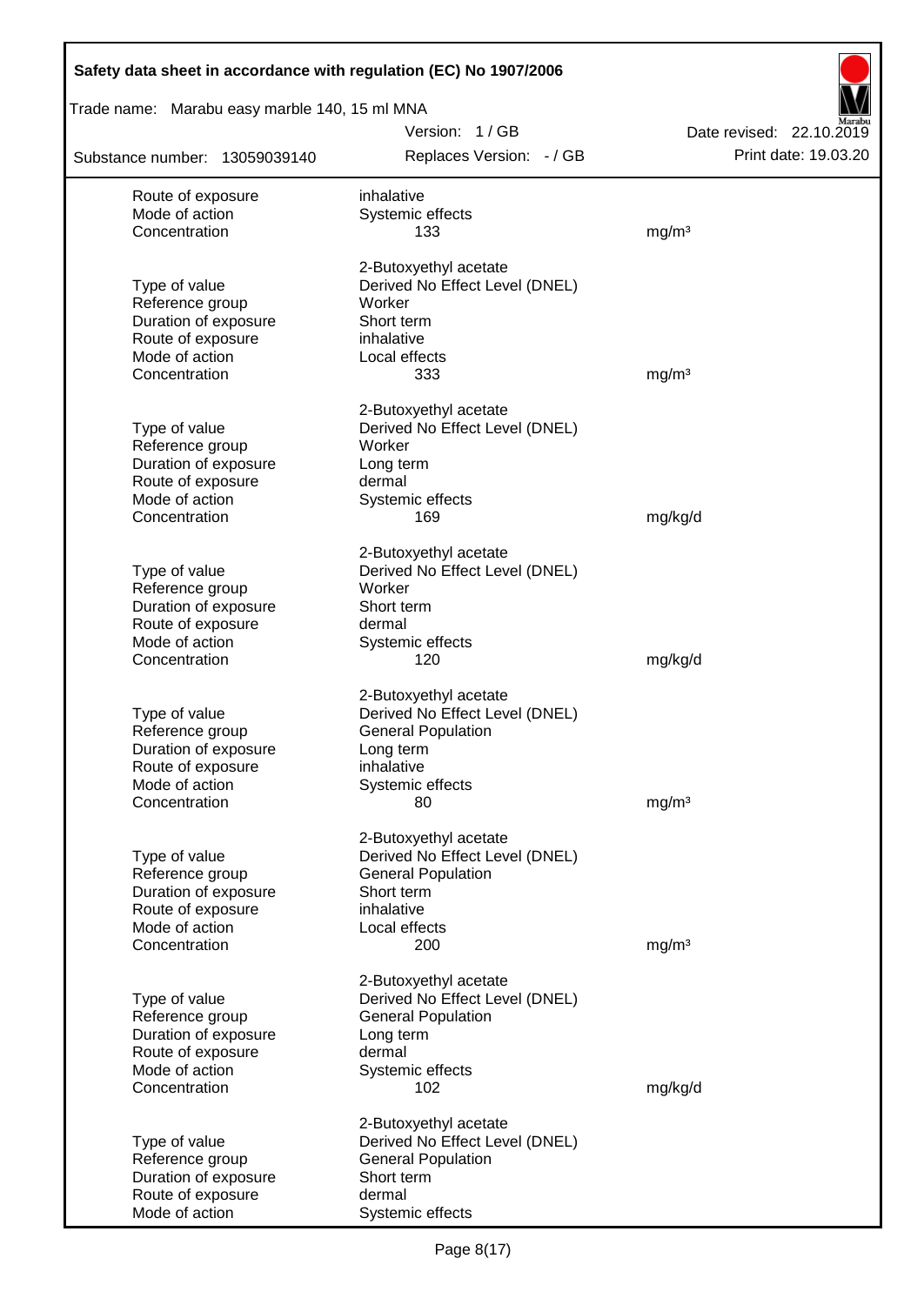| Safety data sheet in accordance with regulation (EC) No 1907/2006 |                                                             |                          |
|-------------------------------------------------------------------|-------------------------------------------------------------|--------------------------|
| Trade name: Marabu easy marble 140, 15 ml MNA                     |                                                             |                          |
|                                                                   | Version: 1/GB                                               | Date revised: 22.10.2019 |
| Substance number: 13059039140                                     | Replaces Version: - / GB                                    | Print date: 19.03.20     |
| Route of exposure                                                 | inhalative                                                  |                          |
| Mode of action                                                    | Systemic effects                                            |                          |
| Concentration                                                     | 133                                                         | mg/m <sup>3</sup>        |
|                                                                   | 2-Butoxyethyl acetate                                       |                          |
| Type of value                                                     | Derived No Effect Level (DNEL)                              |                          |
| Reference group                                                   | Worker                                                      |                          |
| Duration of exposure                                              | Short term                                                  |                          |
| Route of exposure<br>Mode of action                               | inhalative                                                  |                          |
| Concentration                                                     | Local effects<br>333                                        | mg/m <sup>3</sup>        |
|                                                                   |                                                             |                          |
|                                                                   | 2-Butoxyethyl acetate                                       |                          |
| Type of value                                                     | Derived No Effect Level (DNEL)                              |                          |
| Reference group<br>Duration of exposure                           | Worker<br>Long term                                         |                          |
| Route of exposure                                                 | dermal                                                      |                          |
| Mode of action                                                    | Systemic effects                                            |                          |
| Concentration                                                     | 169                                                         | mg/kg/d                  |
|                                                                   |                                                             |                          |
| Type of value                                                     | 2-Butoxyethyl acetate<br>Derived No Effect Level (DNEL)     |                          |
| Reference group                                                   | Worker                                                      |                          |
| Duration of exposure                                              | Short term                                                  |                          |
| Route of exposure                                                 | dermal                                                      |                          |
| Mode of action                                                    | Systemic effects                                            |                          |
| Concentration                                                     | 120                                                         | mg/kg/d                  |
|                                                                   | 2-Butoxyethyl acetate                                       |                          |
| Type of value                                                     | Derived No Effect Level (DNEL)                              |                          |
| Reference group                                                   | <b>General Population</b>                                   |                          |
| Duration of exposure                                              | Long term                                                   |                          |
| Route of exposure                                                 | inhalative                                                  |                          |
| Mode of action                                                    | Systemic effects                                            |                          |
| Concentration                                                     | 80                                                          | mg/m <sup>3</sup>        |
|                                                                   | 2-Butoxyethyl acetate                                       |                          |
| Type of value                                                     | Derived No Effect Level (DNEL)                              |                          |
| Reference group                                                   | <b>General Population</b>                                   |                          |
| Duration of exposure                                              | Short term<br>inhalative                                    |                          |
| Route of exposure<br>Mode of action                               | Local effects                                               |                          |
| Concentration                                                     | 200                                                         | mg/m <sup>3</sup>        |
|                                                                   |                                                             |                          |
|                                                                   | 2-Butoxyethyl acetate                                       |                          |
| Type of value<br>Reference group                                  | Derived No Effect Level (DNEL)<br><b>General Population</b> |                          |
| Duration of exposure                                              | Long term                                                   |                          |
| Route of exposure                                                 | dermal                                                      |                          |
| Mode of action                                                    | Systemic effects                                            |                          |
| Concentration                                                     | 102                                                         | mg/kg/d                  |
|                                                                   | 2-Butoxyethyl acetate                                       |                          |
| Type of value                                                     | Derived No Effect Level (DNEL)                              |                          |
| Reference group                                                   | <b>General Population</b>                                   |                          |
| Duration of exposure                                              | Short term                                                  |                          |
| Route of exposure                                                 | dermal                                                      |                          |
| Mode of action                                                    | Systemic effects                                            |                          |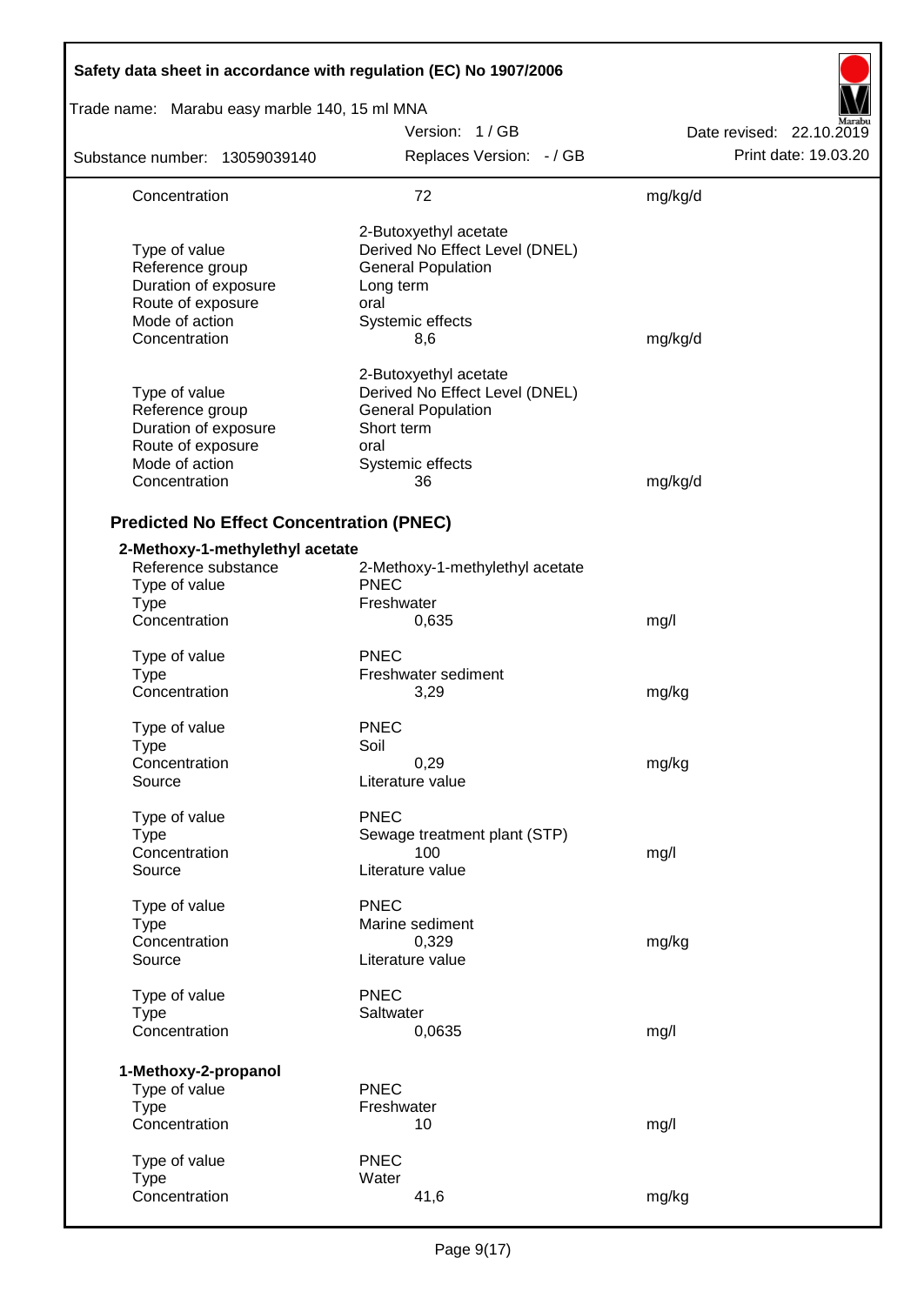| Safety data sheet in accordance with regulation (EC) No 1907/2006                                                |                                                                                                                                      |                          |
|------------------------------------------------------------------------------------------------------------------|--------------------------------------------------------------------------------------------------------------------------------------|--------------------------|
| Trade name: Marabu easy marble 140, 15 ml MNA                                                                    |                                                                                                                                      |                          |
|                                                                                                                  | Version: 1/GB                                                                                                                        | Date revised: 22.10.2019 |
| Substance number: 13059039140                                                                                    | Replaces Version: - / GB                                                                                                             | Print date: 19.03.20     |
| Concentration                                                                                                    | 72                                                                                                                                   | mg/kg/d                  |
| Type of value<br>Reference group<br>Duration of exposure<br>Route of exposure<br>Mode of action<br>Concentration | 2-Butoxyethyl acetate<br>Derived No Effect Level (DNEL)<br><b>General Population</b><br>Long term<br>oral<br>Systemic effects<br>8,6 | mg/kg/d                  |
| Type of value<br>Reference group<br>Duration of exposure<br>Route of exposure<br>Mode of action<br>Concentration | 2-Butoxyethyl acetate<br>Derived No Effect Level (DNEL)<br><b>General Population</b><br>Short term<br>oral<br>Systemic effects<br>36 | mg/kg/d                  |
| <b>Predicted No Effect Concentration (PNEC)</b>                                                                  |                                                                                                                                      |                          |
| 2-Methoxy-1-methylethyl acetate<br>Reference substance<br>Type of value<br><b>Type</b>                           | 2-Methoxy-1-methylethyl acetate<br><b>PNEC</b><br>Freshwater                                                                         |                          |
| Concentration                                                                                                    | 0,635                                                                                                                                | mg/l                     |
| Type of value<br><b>Type</b><br>Concentration                                                                    | <b>PNEC</b><br>Freshwater sediment<br>3,29                                                                                           | mg/kg                    |
| Type of value<br><b>Type</b><br>Concentration<br>Source                                                          | <b>PNEC</b><br>Soil<br>0,29<br>Literature value                                                                                      | mg/kg                    |
| Type of value<br><b>Type</b><br>Concentration<br>Source                                                          | <b>PNEC</b><br>Sewage treatment plant (STP)<br>100<br>Literature value                                                               | mg/l                     |
| Type of value<br><b>Type</b><br>Concentration<br>Source                                                          | <b>PNEC</b><br>Marine sediment<br>0,329<br>Literature value                                                                          | mg/kg                    |
| Type of value<br><b>Type</b><br>Concentration                                                                    | <b>PNEC</b><br>Saltwater<br>0,0635                                                                                                   | mg/l                     |
| 1-Methoxy-2-propanol<br>Type of value<br><b>Type</b><br>Concentration                                            | <b>PNEC</b><br>Freshwater<br>10                                                                                                      | mg/l                     |
| Type of value<br><b>Type</b><br>Concentration                                                                    | <b>PNEC</b><br>Water<br>41,6                                                                                                         | mg/kg                    |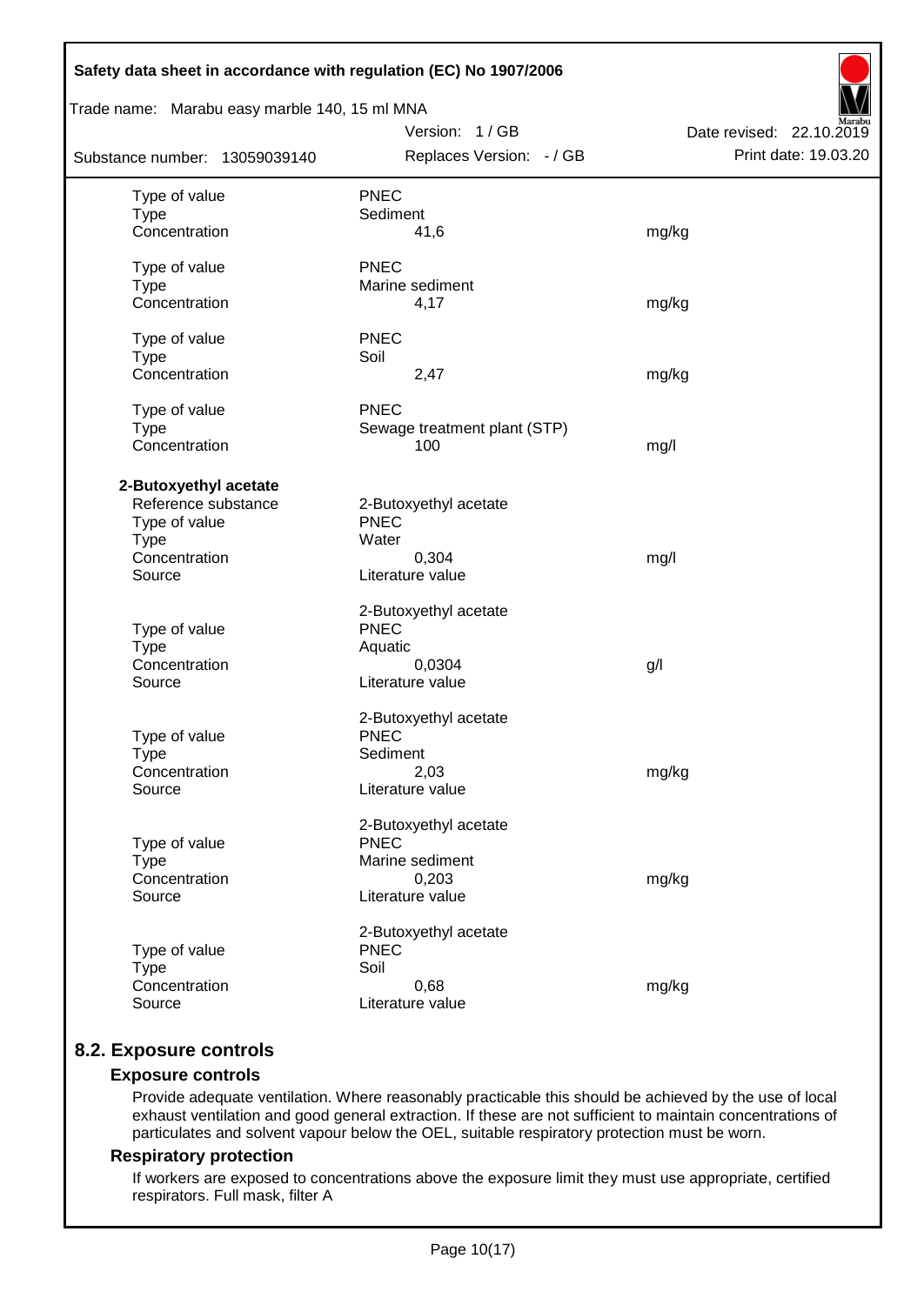| Safety data sheet in accordance with regulation (EC) No 1907/2006                                       |                                                                                      |                                                  |
|---------------------------------------------------------------------------------------------------------|--------------------------------------------------------------------------------------|--------------------------------------------------|
| Trade name: Marabu easy marble 140, 15 ml MNA                                                           |                                                                                      |                                                  |
| Substance number: 13059039140                                                                           | Version: 1/GB<br>Replaces Version: - / GB                                            | Date revised: 22.10.2019<br>Print date: 19.03.20 |
| Type of value<br><b>Type</b><br>Concentration                                                           | <b>PNEC</b><br>Sediment<br>41,6                                                      | mg/kg                                            |
| Type of value<br><b>Type</b><br>Concentration                                                           | <b>PNEC</b><br>Marine sediment<br>4,17                                               | mg/kg                                            |
| Type of value<br><b>Type</b><br>Concentration                                                           | <b>PNEC</b><br>Soil<br>2,47                                                          | mg/kg                                            |
| Type of value<br><b>Type</b><br>Concentration                                                           | <b>PNEC</b><br>Sewage treatment plant (STP)<br>100                                   | mg/l                                             |
| 2-Butoxyethyl acetate<br>Reference substance<br>Type of value<br><b>Type</b><br>Concentration<br>Source | 2-Butoxyethyl acetate<br><b>PNEC</b><br>Water<br>0,304<br>Literature value           | mg/l                                             |
| Type of value<br><b>Type</b><br>Concentration<br>Source                                                 | 2-Butoxyethyl acetate<br><b>PNEC</b><br>Aquatic<br>0,0304<br>Literature value        | g/                                               |
| Type of value<br><b>Type</b><br>Concentration<br>Source                                                 | 2-Butoxyethyl acetate<br><b>PNEC</b><br>Sediment<br>2,03<br>Literature value         | mg/kg                                            |
| Type of value<br><b>Type</b><br>Concentration<br>Source                                                 | 2-Butoxyethyl acetate<br><b>PNEC</b><br>Marine sediment<br>0,203<br>Literature value | mg/kg                                            |
| Type of value<br><b>Type</b><br>Concentration<br>Source                                                 | 2-Butoxyethyl acetate<br><b>PNEC</b><br>Soil<br>0,68<br>Literature value             | mg/kg                                            |

# **8.2. Exposure controls**

## **Exposure controls**

Provide adequate ventilation. Where reasonably practicable this should be achieved by the use of local exhaust ventilation and good general extraction. If these are not sufficient to maintain concentrations of particulates and solvent vapour below the OEL, suitable respiratory protection must be worn.

#### **Respiratory protection**

If workers are exposed to concentrations above the exposure limit they must use appropriate, certified respirators. Full mask, filter A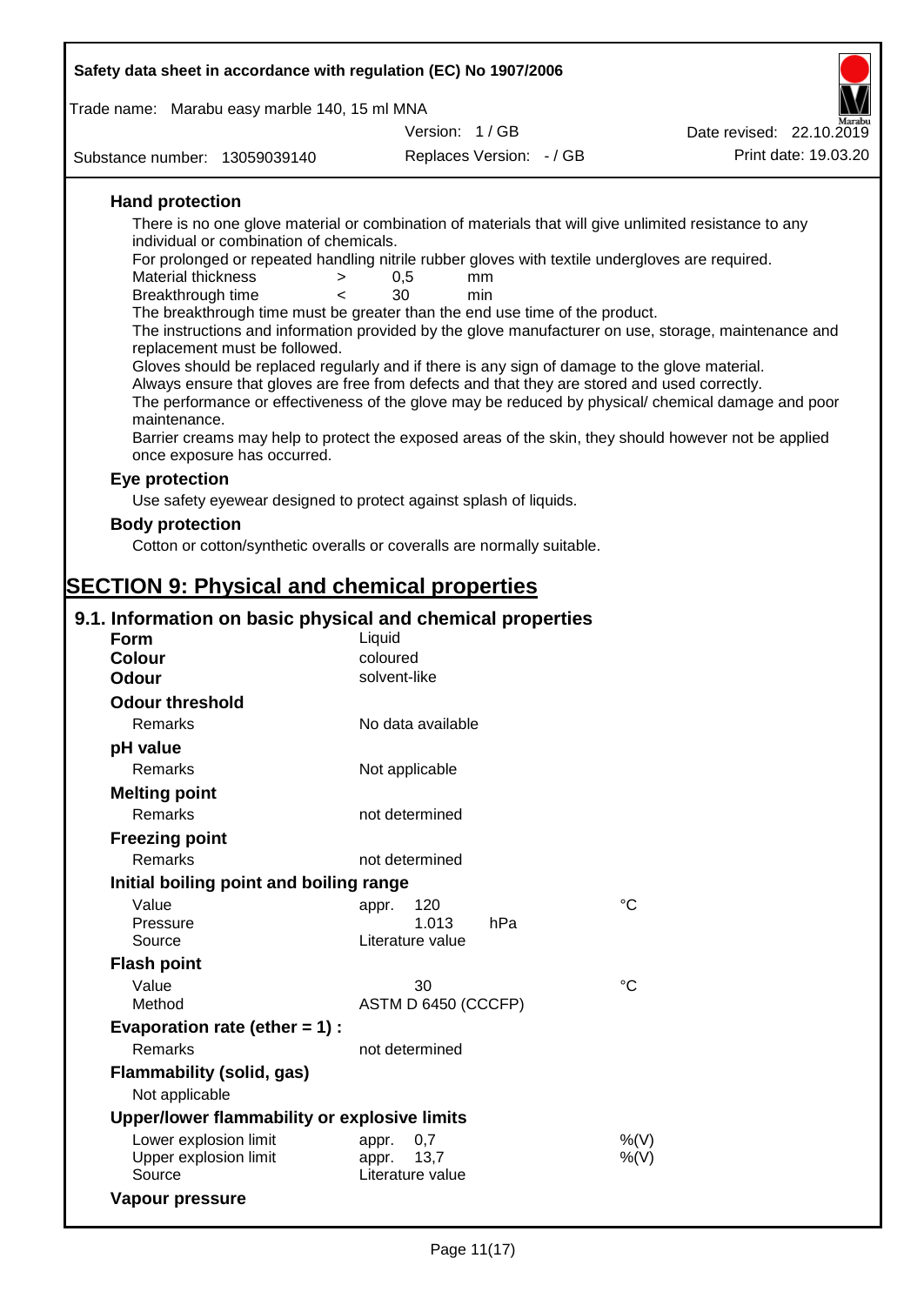| Safety data sheet in accordance with regulation (EC) No 1907/2006                                                                 |                                  |             |                          |
|-----------------------------------------------------------------------------------------------------------------------------------|----------------------------------|-------------|--------------------------|
|                                                                                                                                   |                                  |             |                          |
| Trade name: Marabu easy marble 140, 15 ml MNA                                                                                     | Version: 1/GB                    |             | Date revised: 22.10.2019 |
|                                                                                                                                   |                                  |             | Print date: 19.03.20     |
| Substance number: 13059039140                                                                                                     | Replaces Version: - / GB         |             |                          |
| <b>Hand protection</b>                                                                                                            |                                  |             |                          |
| There is no one glove material or combination of materials that will give unlimited resistance to any                             |                                  |             |                          |
| individual or combination of chemicals.                                                                                           |                                  |             |                          |
| For prolonged or repeated handling nitrile rubber gloves with textile undergloves are required.<br><b>Material thickness</b><br>> | 0,5<br>mm                        |             |                          |
| Breakthrough time<br>$\overline{\phantom{0}}$                                                                                     | 30<br>min                        |             |                          |
| The breakthrough time must be greater than the end use time of the product.                                                       |                                  |             |                          |
| The instructions and information provided by the glove manufacturer on use, storage, maintenance and                              |                                  |             |                          |
| replacement must be followed.<br>Gloves should be replaced regularly and if there is any sign of damage to the glove material.    |                                  |             |                          |
| Always ensure that gloves are free from defects and that they are stored and used correctly.                                      |                                  |             |                          |
| The performance or effectiveness of the glove may be reduced by physical/ chemical damage and poor                                |                                  |             |                          |
| maintenance.<br>Barrier creams may help to protect the exposed areas of the skin, they should however not be applied              |                                  |             |                          |
| once exposure has occurred.                                                                                                       |                                  |             |                          |
| Eye protection                                                                                                                    |                                  |             |                          |
| Use safety eyewear designed to protect against splash of liquids.                                                                 |                                  |             |                          |
| <b>Body protection</b>                                                                                                            |                                  |             |                          |
| Cotton or cotton/synthetic overalls or coveralls are normally suitable.                                                           |                                  |             |                          |
|                                                                                                                                   |                                  |             |                          |
| <b>SECTION 9: Physical and chemical properties</b>                                                                                |                                  |             |                          |
| 9.1. Information on basic physical and chemical properties                                                                        |                                  |             |                          |
| <b>Form</b>                                                                                                                       | Liquid                           |             |                          |
| <b>Colour</b>                                                                                                                     | coloured                         |             |                          |
| <b>Odour</b>                                                                                                                      | solvent-like                     |             |                          |
| <b>Odour threshold</b>                                                                                                            |                                  |             |                          |
| Remarks                                                                                                                           | No data available                |             |                          |
| pH value                                                                                                                          |                                  |             |                          |
| Remarks                                                                                                                           | Not applicable                   |             |                          |
| <b>Melting point</b>                                                                                                              |                                  |             |                          |
| Remarks                                                                                                                           | not determined                   |             |                          |
| <b>Freezing point</b>                                                                                                             |                                  |             |                          |
| Remarks                                                                                                                           | not determined                   |             |                          |
| Initial boiling point and boiling range                                                                                           |                                  |             |                          |
| Value                                                                                                                             | 120<br>appr.                     | $^{\circ}C$ |                          |
| Pressure<br>Source                                                                                                                | 1.013<br>hPa<br>Literature value |             |                          |
| <b>Flash point</b>                                                                                                                |                                  |             |                          |
| Value                                                                                                                             | 30                               | $^{\circ}C$ |                          |
| Method                                                                                                                            | ASTM D 6450 (CCCFP)              |             |                          |
| Evaporation rate (ether $= 1$ ) :                                                                                                 |                                  |             |                          |
| Remarks                                                                                                                           | not determined                   |             |                          |
| <b>Flammability (solid, gas)</b>                                                                                                  |                                  |             |                          |
| Not applicable                                                                                                                    |                                  |             |                          |
| Upper/lower flammability or explosive limits                                                                                      |                                  |             |                          |

| Upper/lower flammability or explosive limits |                  |      |
|----------------------------------------------|------------------|------|
| Lower explosion limit                        | appr. $0.7$      | %(V) |
| Upper explosion limit                        | appr. 13.7       | %(V) |
| Source                                       | Literature value |      |
| Vapour pressure                              |                  |      |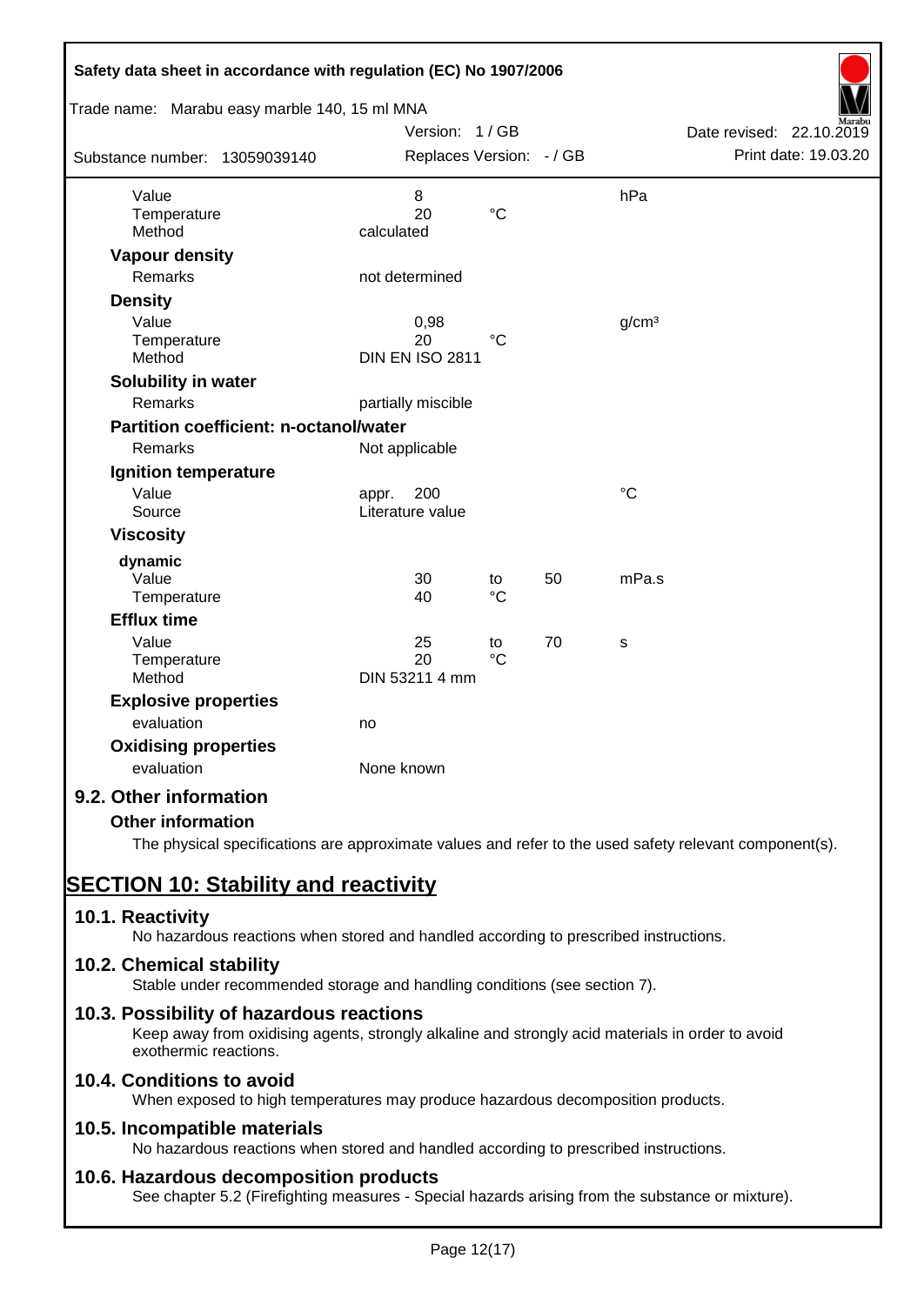| Safety data sheet in accordance with regulation (EC) No 1907/2006<br>Trade name: Marabu easy marble 140, 15 ml MNA |                          |                   |    |                   |                          |
|--------------------------------------------------------------------------------------------------------------------|--------------------------|-------------------|----|-------------------|--------------------------|
|                                                                                                                    | Version: 1/GB            |                   |    |                   | Date revised: 22.10.2019 |
| Substance number: 13059039140                                                                                      | Replaces Version: - / GB |                   |    |                   | Print date: 19.03.20     |
| Value                                                                                                              | 8                        |                   |    | hPa               |                          |
| Temperature<br>Method                                                                                              | 20<br>calculated         | $\rm ^{\circ}C$   |    |                   |                          |
| <b>Vapour density</b>                                                                                              |                          |                   |    |                   |                          |
| <b>Remarks</b>                                                                                                     | not determined           |                   |    |                   |                          |
| <b>Density</b>                                                                                                     |                          |                   |    |                   |                          |
| Value                                                                                                              | 0,98                     |                   |    | g/cm <sup>3</sup> |                          |
| Temperature                                                                                                        | 20                       | $^{\circ}C$       |    |                   |                          |
| Method                                                                                                             | <b>DIN EN ISO 2811</b>   |                   |    |                   |                          |
| Solubility in water                                                                                                |                          |                   |    |                   |                          |
| <b>Remarks</b>                                                                                                     | partially miscible       |                   |    |                   |                          |
| Partition coefficient: n-octanol/water                                                                             |                          |                   |    |                   |                          |
| Remarks                                                                                                            | Not applicable           |                   |    |                   |                          |
| Ignition temperature                                                                                               |                          |                   |    |                   |                          |
| Value                                                                                                              | 200<br>appr.             |                   |    | °C                |                          |
| Source                                                                                                             | Literature value         |                   |    |                   |                          |
| <b>Viscosity</b>                                                                                                   |                          |                   |    |                   |                          |
| dynamic                                                                                                            |                          |                   |    |                   |                          |
| Value<br>Temperature                                                                                               | 30<br>40                 | to<br>$^{\circ}C$ | 50 | mPa.s             |                          |
| <b>Efflux time</b>                                                                                                 |                          |                   |    |                   |                          |
| Value                                                                                                              | 25                       | to                | 70 | s                 |                          |
| Temperature                                                                                                        | 20                       | $\rm ^{\circ}C$   |    |                   |                          |
| Method                                                                                                             | DIN 53211 4 mm           |                   |    |                   |                          |
| <b>Explosive properties</b>                                                                                        |                          |                   |    |                   |                          |
| evaluation                                                                                                         | no                       |                   |    |                   |                          |
| <b>Oxidising properties</b>                                                                                        |                          |                   |    |                   |                          |
| evaluation                                                                                                         | None known               |                   |    |                   |                          |
| 9.2. Other information                                                                                             |                          |                   |    |                   |                          |
| <b>Other information</b>                                                                                           |                          |                   |    |                   |                          |

The physical specifications are approximate values and refer to the used safety relevant component(s).

# **SECTION 10: Stability and reactivity**

# **10.1. Reactivity**

No hazardous reactions when stored and handled according to prescribed instructions.

# **10.2. Chemical stability**

Stable under recommended storage and handling conditions (see section 7).

# **10.3. Possibility of hazardous reactions**

Keep away from oxidising agents, strongly alkaline and strongly acid materials in order to avoid exothermic reactions.

# **10.4. Conditions to avoid**

When exposed to high temperatures may produce hazardous decomposition products.

# **10.5. Incompatible materials**

No hazardous reactions when stored and handled according to prescribed instructions.

# **10.6. Hazardous decomposition products**

See chapter 5.2 (Firefighting measures - Special hazards arising from the substance or mixture).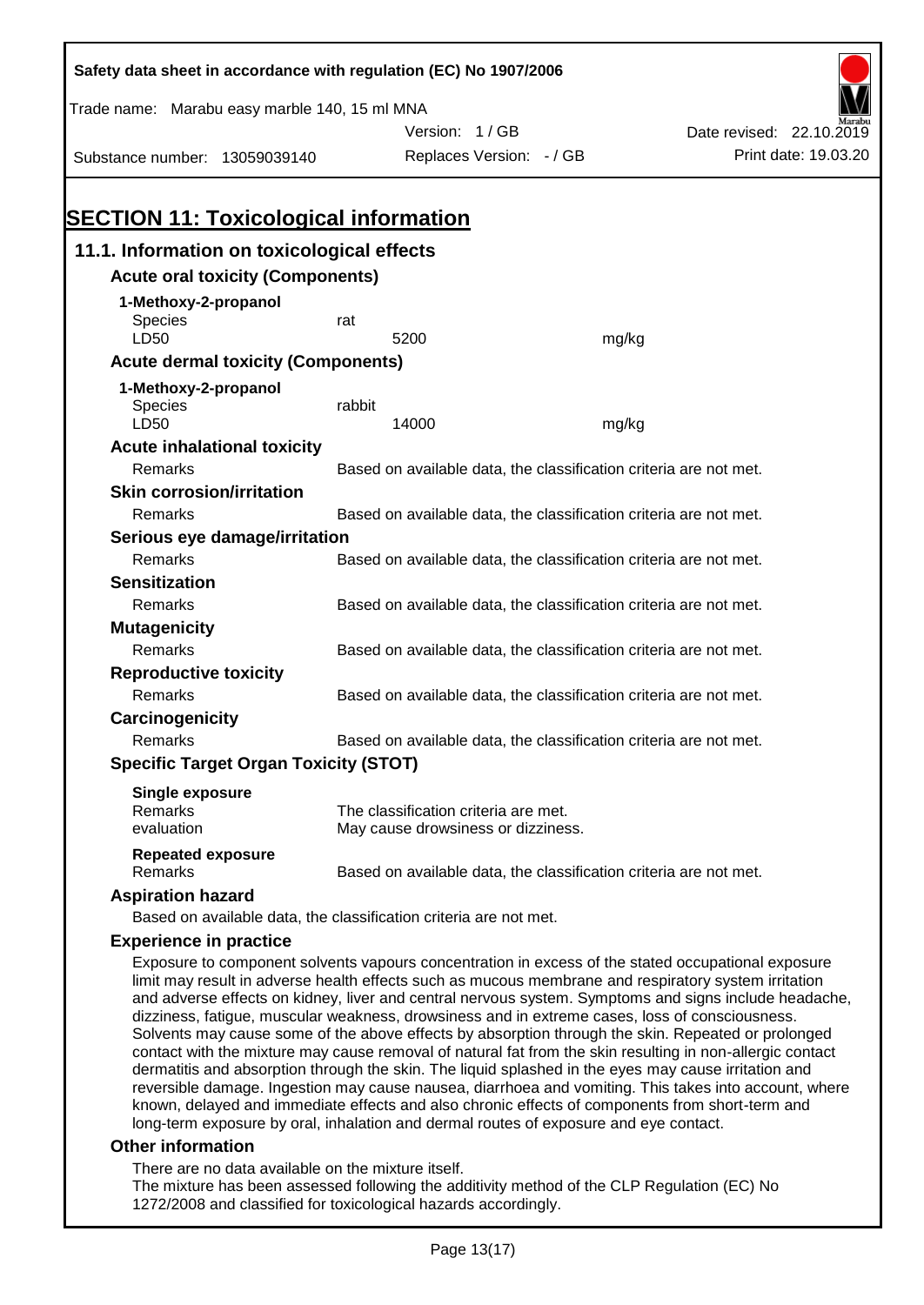| Safety data sheet in accordance with regulation (EC) No 1907/2006                                    |                                                                   |                                                                            |       |                                                                                                    |  |
|------------------------------------------------------------------------------------------------------|-------------------------------------------------------------------|----------------------------------------------------------------------------|-------|----------------------------------------------------------------------------------------------------|--|
| Trade name: Marabu easy marble 140, 15 ml MNA                                                        |                                                                   |                                                                            |       |                                                                                                    |  |
|                                                                                                      |                                                                   | Version: 1/GB                                                              |       | Date revised: 22.10.2019                                                                           |  |
| Substance number: 13059039140                                                                        |                                                                   | Replaces Version: - / GB                                                   |       | Print date: 19.03.20                                                                               |  |
|                                                                                                      |                                                                   |                                                                            |       |                                                                                                    |  |
|                                                                                                      |                                                                   |                                                                            |       |                                                                                                    |  |
| <b>SECTION 11: Toxicological information</b>                                                         |                                                                   |                                                                            |       |                                                                                                    |  |
| 11.1. Information on toxicological effects                                                           |                                                                   |                                                                            |       |                                                                                                    |  |
| <b>Acute oral toxicity (Components)</b>                                                              |                                                                   |                                                                            |       |                                                                                                    |  |
| 1-Methoxy-2-propanol                                                                                 |                                                                   |                                                                            |       |                                                                                                    |  |
| <b>Species</b>                                                                                       | rat                                                               |                                                                            |       |                                                                                                    |  |
| LD50                                                                                                 |                                                                   | 5200                                                                       | mg/kg |                                                                                                    |  |
| <b>Acute dermal toxicity (Components)</b>                                                            |                                                                   |                                                                            |       |                                                                                                    |  |
| 1-Methoxy-2-propanol                                                                                 |                                                                   |                                                                            |       |                                                                                                    |  |
| Species<br>LD50                                                                                      | rabbit                                                            | 14000                                                                      | mg/kg |                                                                                                    |  |
| <b>Acute inhalational toxicity</b>                                                                   |                                                                   |                                                                            |       |                                                                                                    |  |
| Remarks                                                                                              |                                                                   | Based on available data, the classification criteria are not met.          |       |                                                                                                    |  |
| <b>Skin corrosion/irritation</b>                                                                     |                                                                   |                                                                            |       |                                                                                                    |  |
| Remarks                                                                                              | Based on available data, the classification criteria are not met. |                                                                            |       |                                                                                                    |  |
| Serious eye damage/irritation                                                                        |                                                                   |                                                                            |       |                                                                                                    |  |
| <b>Remarks</b>                                                                                       |                                                                   | Based on available data, the classification criteria are not met.          |       |                                                                                                    |  |
| <b>Sensitization</b>                                                                                 |                                                                   |                                                                            |       |                                                                                                    |  |
| Remarks                                                                                              |                                                                   | Based on available data, the classification criteria are not met.          |       |                                                                                                    |  |
| <b>Mutagenicity</b>                                                                                  |                                                                   |                                                                            |       |                                                                                                    |  |
| Remarks                                                                                              |                                                                   | Based on available data, the classification criteria are not met.          |       |                                                                                                    |  |
| <b>Reproductive toxicity</b>                                                                         |                                                                   |                                                                            |       |                                                                                                    |  |
| Remarks                                                                                              |                                                                   | Based on available data, the classification criteria are not met.          |       |                                                                                                    |  |
| Carcinogenicity                                                                                      |                                                                   |                                                                            |       |                                                                                                    |  |
| Remarks                                                                                              |                                                                   | Based on available data, the classification criteria are not met.          |       |                                                                                                    |  |
| <b>Specific Target Organ Toxicity (STOT)</b>                                                         |                                                                   |                                                                            |       |                                                                                                    |  |
| <b>Single exposure</b>                                                                               |                                                                   |                                                                            |       |                                                                                                    |  |
| Remarks<br>evaluation                                                                                |                                                                   | The classification criteria are met.<br>May cause drowsiness or dizziness. |       |                                                                                                    |  |
|                                                                                                      |                                                                   |                                                                            |       |                                                                                                    |  |
| <b>Repeated exposure</b><br>Remarks                                                                  |                                                                   | Based on available data, the classification criteria are not met.          |       |                                                                                                    |  |
| <b>Aspiration hazard</b>                                                                             |                                                                   |                                                                            |       |                                                                                                    |  |
| Based on available data, the classification criteria are not met.                                    |                                                                   |                                                                            |       |                                                                                                    |  |
| <b>Experience in practice</b>                                                                        |                                                                   |                                                                            |       |                                                                                                    |  |
| limit may result in adverse health effects such as mucous membrane and respiratory system irritation |                                                                   |                                                                            |       | Exposure to component solvents vapours concentration in excess of the stated occupational exposure |  |

and adverse effects on kidney, liver and central nervous system. Symptoms and signs include headache, dizziness, fatigue, muscular weakness, drowsiness and in extreme cases, loss of consciousness. Solvents may cause some of the above effects by absorption through the skin. Repeated or prolonged contact with the mixture may cause removal of natural fat from the skin resulting in non-allergic contact dermatitis and absorption through the skin. The liquid splashed in the eyes may cause irritation and reversible damage. Ingestion may cause nausea, diarrhoea and vomiting. This takes into account, where known, delayed and immediate effects and also chronic effects of components from short-term and long-term exposure by oral, inhalation and dermal routes of exposure and eye contact.

#### **Other information**

There are no data available on the mixture itself.

The mixture has been assessed following the additivity method of the CLP Regulation (EC) No 1272/2008 and classified for toxicological hazards accordingly.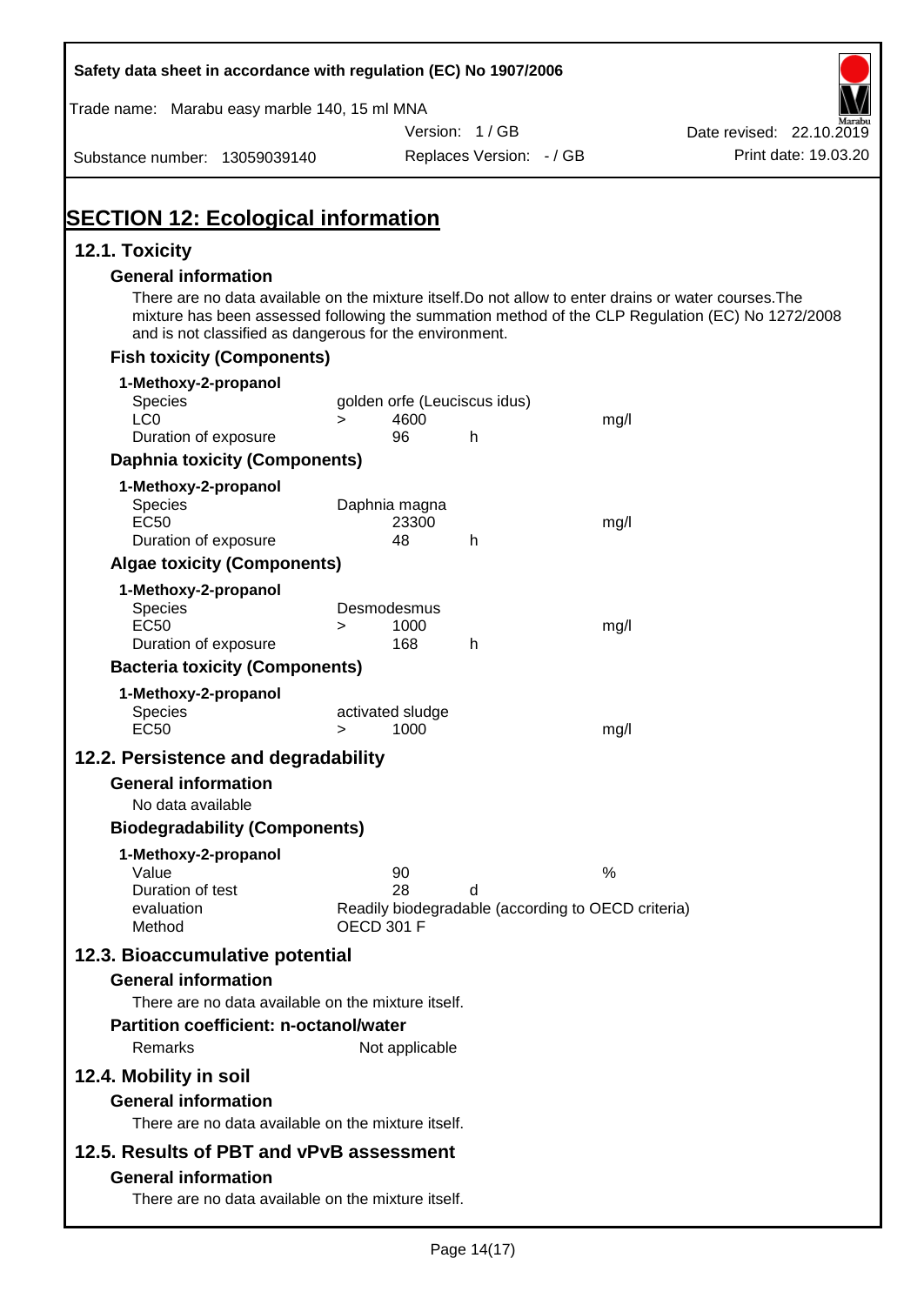| Safety data sheet in accordance with regulation (EC) No 1907/2006                                                                                                                              |                   |                          |                              |                                                    |                                                                                                  |
|------------------------------------------------------------------------------------------------------------------------------------------------------------------------------------------------|-------------------|--------------------------|------------------------------|----------------------------------------------------|--------------------------------------------------------------------------------------------------|
| Trade name: Marabu easy marble 140, 15 ml MNA                                                                                                                                                  |                   |                          |                              |                                                    |                                                                                                  |
|                                                                                                                                                                                                |                   |                          | Version: 1/GB                |                                                    | Date revised: 22.10.2019                                                                         |
| Substance number: 13059039140                                                                                                                                                                  |                   |                          | Replaces Version: - / GB     |                                                    | Print date: 19.03.20                                                                             |
| <b>SECTION 12: Ecological information</b>                                                                                                                                                      |                   |                          |                              |                                                    |                                                                                                  |
| 12.1. Toxicity                                                                                                                                                                                 |                   |                          |                              |                                                    |                                                                                                  |
| <b>General information</b><br>There are no data available on the mixture itself. Do not allow to enter drains or water courses. The<br>and is not classified as dangerous for the environment. |                   |                          |                              |                                                    | mixture has been assessed following the summation method of the CLP Regulation (EC) No 1272/2008 |
| <b>Fish toxicity (Components)</b>                                                                                                                                                              |                   |                          |                              |                                                    |                                                                                                  |
| 1-Methoxy-2-propanol                                                                                                                                                                           |                   |                          |                              |                                                    |                                                                                                  |
| Species<br>LC <sub>0</sub>                                                                                                                                                                     | $\geq$            | 4600                     | golden orfe (Leuciscus idus) | mg/l                                               |                                                                                                  |
| Duration of exposure                                                                                                                                                                           |                   | 96                       | h                            |                                                    |                                                                                                  |
| <b>Daphnia toxicity (Components)</b>                                                                                                                                                           |                   |                          |                              |                                                    |                                                                                                  |
| 1-Methoxy-2-propanol                                                                                                                                                                           |                   |                          |                              |                                                    |                                                                                                  |
| <b>Species</b>                                                                                                                                                                                 |                   | Daphnia magna            |                              |                                                    |                                                                                                  |
| <b>EC50</b>                                                                                                                                                                                    |                   | 23300                    |                              | mg/l                                               |                                                                                                  |
| Duration of exposure                                                                                                                                                                           |                   | 48                       | h                            |                                                    |                                                                                                  |
| <b>Algae toxicity (Components)</b>                                                                                                                                                             |                   |                          |                              |                                                    |                                                                                                  |
| 1-Methoxy-2-propanol<br><b>Species</b>                                                                                                                                                         |                   | Desmodesmus              |                              |                                                    |                                                                                                  |
| <b>EC50</b>                                                                                                                                                                                    | $\geq$            | 1000                     |                              | mg/l                                               |                                                                                                  |
| Duration of exposure                                                                                                                                                                           |                   | 168                      | h                            |                                                    |                                                                                                  |
| <b>Bacteria toxicity (Components)</b>                                                                                                                                                          |                   |                          |                              |                                                    |                                                                                                  |
| 1-Methoxy-2-propanol                                                                                                                                                                           |                   |                          |                              |                                                    |                                                                                                  |
| Species<br><b>EC50</b>                                                                                                                                                                         | $\geq$            | activated sludge<br>1000 |                              | mg/l                                               |                                                                                                  |
| 12.2. Persistence and degradability                                                                                                                                                            |                   |                          |                              |                                                    |                                                                                                  |
| <b>General information</b>                                                                                                                                                                     |                   |                          |                              |                                                    |                                                                                                  |
| No data available                                                                                                                                                                              |                   |                          |                              |                                                    |                                                                                                  |
| <b>Biodegradability (Components)</b>                                                                                                                                                           |                   |                          |                              |                                                    |                                                                                                  |
| 1-Methoxy-2-propanol                                                                                                                                                                           |                   |                          |                              |                                                    |                                                                                                  |
| Value                                                                                                                                                                                          |                   | 90                       |                              | %                                                  |                                                                                                  |
| Duration of test<br>evaluation                                                                                                                                                                 |                   | 28                       | d                            | Readily biodegradable (according to OECD criteria) |                                                                                                  |
| Method                                                                                                                                                                                         | <b>OECD 301 F</b> |                          |                              |                                                    |                                                                                                  |
| 12.3. Bioaccumulative potential                                                                                                                                                                |                   |                          |                              |                                                    |                                                                                                  |
| <b>General information</b>                                                                                                                                                                     |                   |                          |                              |                                                    |                                                                                                  |
| There are no data available on the mixture itself.                                                                                                                                             |                   |                          |                              |                                                    |                                                                                                  |
| <b>Partition coefficient: n-octanol/water</b>                                                                                                                                                  |                   |                          |                              |                                                    |                                                                                                  |
| Remarks                                                                                                                                                                                        |                   | Not applicable           |                              |                                                    |                                                                                                  |
| 12.4. Mobility in soil                                                                                                                                                                         |                   |                          |                              |                                                    |                                                                                                  |
| <b>General information</b>                                                                                                                                                                     |                   |                          |                              |                                                    |                                                                                                  |
| There are no data available on the mixture itself.                                                                                                                                             |                   |                          |                              |                                                    |                                                                                                  |
| 12.5. Results of PBT and vPvB assessment                                                                                                                                                       |                   |                          |                              |                                                    |                                                                                                  |
| <b>General information</b>                                                                                                                                                                     |                   |                          |                              |                                                    |                                                                                                  |
| There are no data available on the mixture itself.                                                                                                                                             |                   |                          |                              |                                                    |                                                                                                  |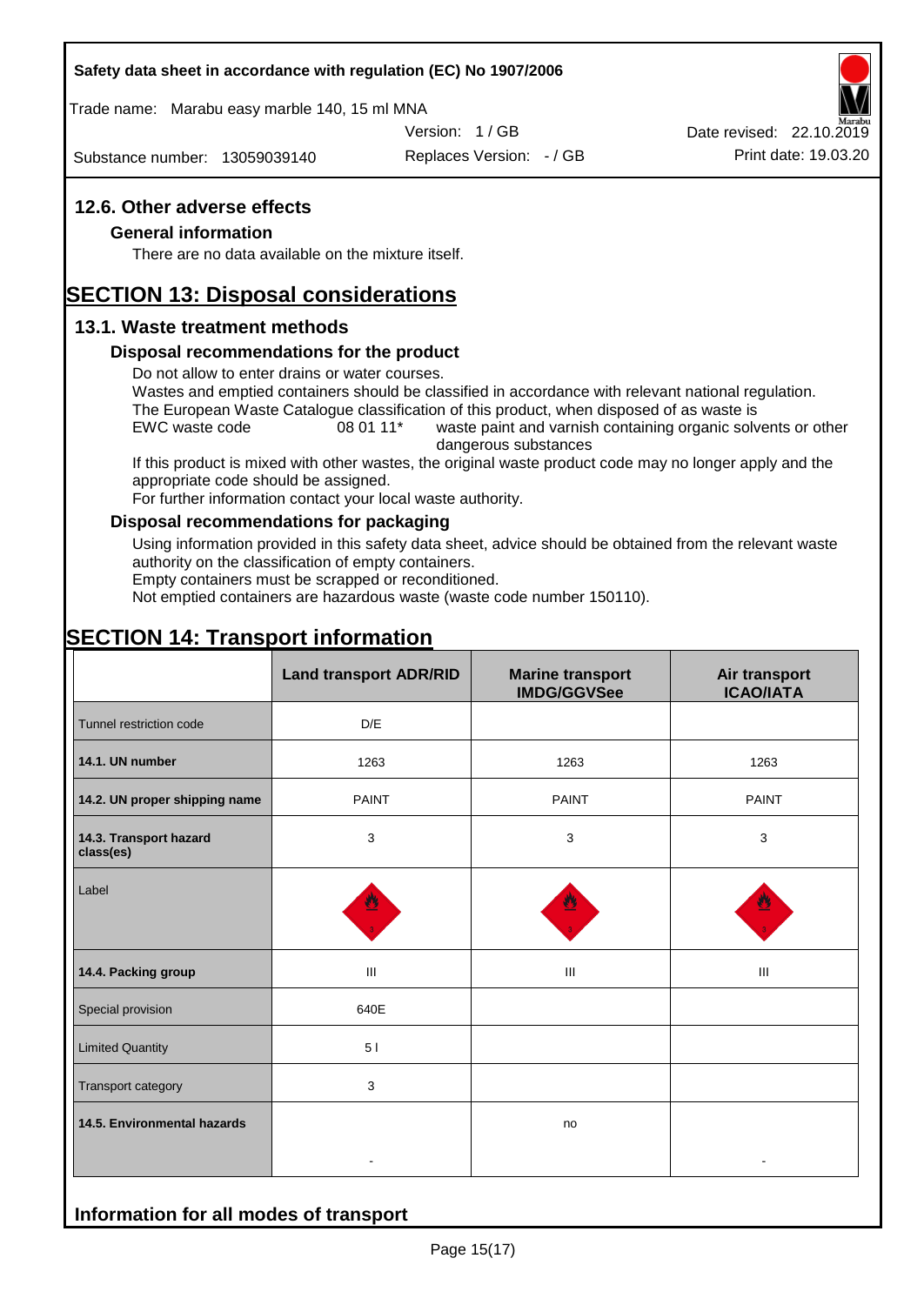#### **Safety data sheet in accordance with regulation (EC) No 1907/2006**

Trade name: Marabu easy marble 140, 15 ml MNA

Version: 1 / GB

Substance number: 13059039140

Replaces Version: - / GB Print date: 19.03.20 Date revised: 22.10.2019

#### **12.6. Other adverse effects**

#### **General information**

There are no data available on the mixture itself.

# **SECTION 13: Disposal considerations**

#### **13.1. Waste treatment methods**

#### **Disposal recommendations for the product**

Do not allow to enter drains or water courses.

Wastes and emptied containers should be classified in accordance with relevant national regulation. The European Waste Catalogue classification of this product, when disposed of as waste is

EWC waste code 08 01 11<sup>\*</sup> waste paint and varnish containing organic solvents or other dangerous substances

If this product is mixed with other wastes, the original waste product code may no longer apply and the appropriate code should be assigned.

For further information contact your local waste authority.

#### **Disposal recommendations for packaging**

Using information provided in this safety data sheet, advice should be obtained from the relevant waste authority on the classification of empty containers.

Empty containers must be scrapped or reconditioned.

Not emptied containers are hazardous waste (waste code number 150110).

# **SECTION 14: Transport information**

|                                     | <b>Land transport ADR/RID</b> | <b>Marine transport</b><br><b>IMDG/GGVSee</b> | Air transport<br><b>ICAO/IATA</b> |
|-------------------------------------|-------------------------------|-----------------------------------------------|-----------------------------------|
| Tunnel restriction code             | D/E                           |                                               |                                   |
| 14.1. UN number                     | 1263                          | 1263                                          | 1263                              |
| 14.2. UN proper shipping name       | <b>PAINT</b>                  | <b>PAINT</b>                                  | <b>PAINT</b>                      |
| 14.3. Transport hazard<br>class(es) | 3                             | 3                                             | 3                                 |
| Label                               |                               |                                               |                                   |
| 14.4. Packing group                 | Ш                             | Ш                                             | Ш                                 |
| Special provision                   | 640E                          |                                               |                                   |
| <b>Limited Quantity</b>             | 5 <sub>1</sub>                |                                               |                                   |
| Transport category                  | 3                             |                                               |                                   |
| 14.5. Environmental hazards         |                               | no                                            |                                   |
|                                     |                               |                                               |                                   |

# **Information for all modes of transport**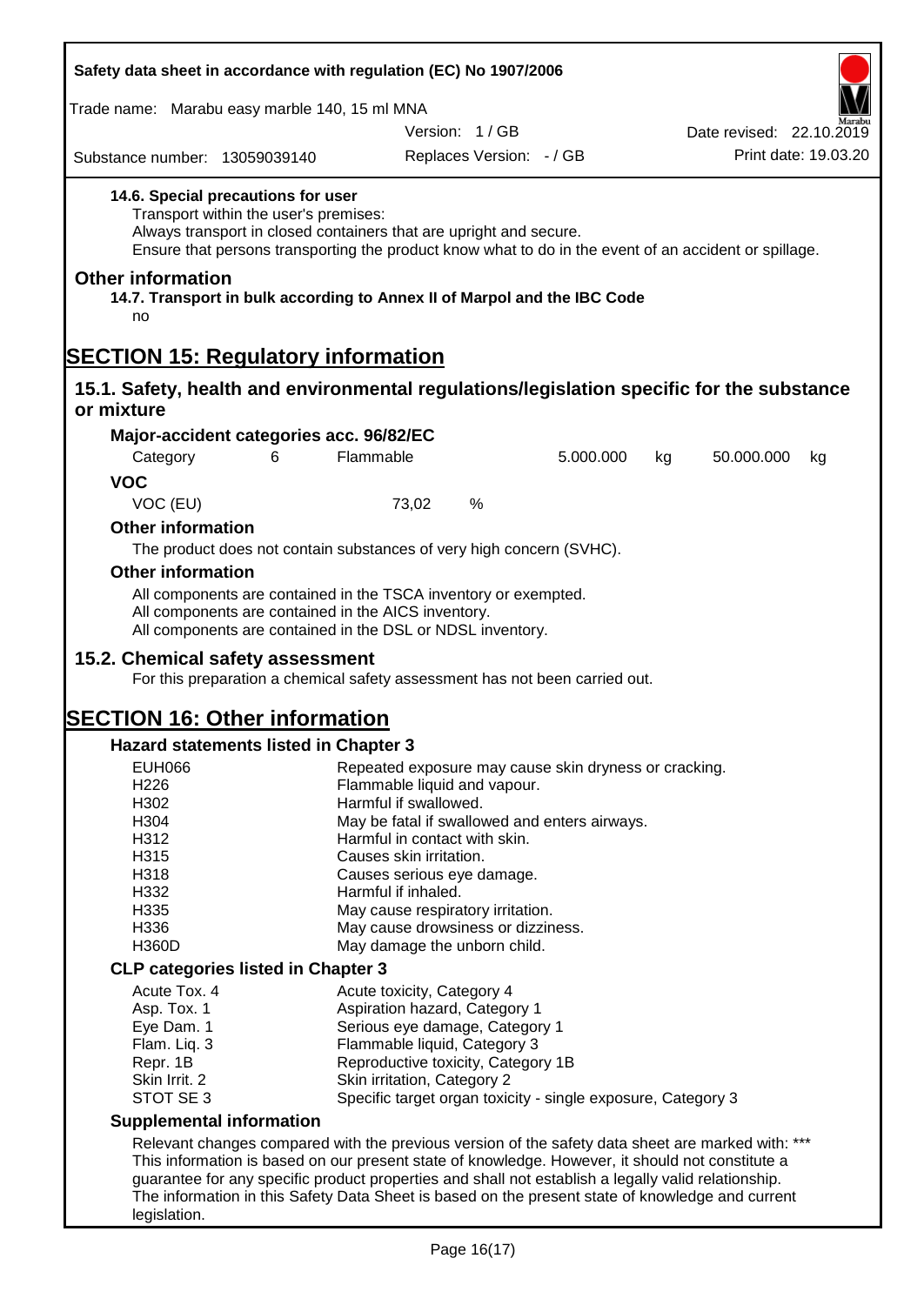| Safety data sheet in accordance with regulation (EC) No 1907/2006                                                                                                                                     |   |                                                                                                                                                                                      |           |                  |                          |
|-------------------------------------------------------------------------------------------------------------------------------------------------------------------------------------------------------|---|--------------------------------------------------------------------------------------------------------------------------------------------------------------------------------------|-----------|------------------|--------------------------|
| Trade name: Marabu easy marble 140, 15 ml MNA                                                                                                                                                         |   |                                                                                                                                                                                      |           |                  |                          |
|                                                                                                                                                                                                       |   | Version: 1/GB                                                                                                                                                                        |           |                  | Date revised: 22.10.2019 |
| Substance number: 13059039140                                                                                                                                                                         |   | Replaces Version: - / GB                                                                                                                                                             |           |                  | Print date: 19.03.20     |
| 14.6. Special precautions for user<br>Transport within the user's premises:                                                                                                                           |   | Always transport in closed containers that are upright and secure.<br>Ensure that persons transporting the product know what to do in the event of an accident or spillage.          |           |                  |                          |
| <b>Other information</b><br>no                                                                                                                                                                        |   | 14.7. Transport in bulk according to Annex II of Marpol and the IBC Code                                                                                                             |           |                  |                          |
| <b>SECTION 15: Regulatory information</b>                                                                                                                                                             |   |                                                                                                                                                                                      |           |                  |                          |
| 15.1. Safety, health and environmental regulations/legislation specific for the substance                                                                                                             |   |                                                                                                                                                                                      |           |                  |                          |
| or mixture                                                                                                                                                                                            |   |                                                                                                                                                                                      |           |                  |                          |
| Major-accident categories acc. 96/82/EC                                                                                                                                                               |   |                                                                                                                                                                                      |           |                  |                          |
| Category                                                                                                                                                                                              | 6 | Flammable                                                                                                                                                                            | 5.000.000 | 50.000.000<br>kg | kg                       |
| <b>VOC</b>                                                                                                                                                                                            |   |                                                                                                                                                                                      |           |                  |                          |
| VOC (EU)                                                                                                                                                                                              |   | %<br>73,02                                                                                                                                                                           |           |                  |                          |
| <b>Other information</b>                                                                                                                                                                              |   |                                                                                                                                                                                      |           |                  |                          |
|                                                                                                                                                                                                       |   | The product does not contain substances of very high concern (SVHC).                                                                                                                 |           |                  |                          |
| <b>Other information</b>                                                                                                                                                                              |   |                                                                                                                                                                                      |           |                  |                          |
|                                                                                                                                                                                                       |   | All components are contained in the TSCA inventory or exempted.<br>All components are contained in the AICS inventory.<br>All components are contained in the DSL or NDSL inventory. |           |                  |                          |
| 15.2. Chemical safety assessment                                                                                                                                                                      |   | For this preparation a chemical safety assessment has not been carried out.                                                                                                          |           |                  |                          |
|                                                                                                                                                                                                       |   |                                                                                                                                                                                      |           |                  |                          |
| <b>SECTION 16: Other information</b>                                                                                                                                                                  |   |                                                                                                                                                                                      |           |                  |                          |
| <b>Hazard statements listed in Chapter 3</b>                                                                                                                                                          |   |                                                                                                                                                                                      |           |                  |                          |
| <b>EUH066</b>                                                                                                                                                                                         |   | Repeated exposure may cause skin dryness or cracking.                                                                                                                                |           |                  |                          |
| H226<br>H302                                                                                                                                                                                          |   | Flammable liquid and vapour.<br>Harmful if swallowed.                                                                                                                                |           |                  |                          |
| H304                                                                                                                                                                                                  |   | May be fatal if swallowed and enters airways.                                                                                                                                        |           |                  |                          |
| H312                                                                                                                                                                                                  |   | Harmful in contact with skin.                                                                                                                                                        |           |                  |                          |
| H315                                                                                                                                                                                                  |   | Causes skin irritation.                                                                                                                                                              |           |                  |                          |
| H318                                                                                                                                                                                                  |   | Causes serious eye damage.                                                                                                                                                           |           |                  |                          |
| H332                                                                                                                                                                                                  |   | Harmful if inhaled.                                                                                                                                                                  |           |                  |                          |
| H335<br>H336                                                                                                                                                                                          |   | May cause respiratory irritation.<br>May cause drowsiness or dizziness.                                                                                                              |           |                  |                          |
| H360D                                                                                                                                                                                                 |   | May damage the unborn child.                                                                                                                                                         |           |                  |                          |
| <b>CLP categories listed in Chapter 3</b>                                                                                                                                                             |   |                                                                                                                                                                                      |           |                  |                          |
| Acute Tox. 4                                                                                                                                                                                          |   | Acute toxicity, Category 4                                                                                                                                                           |           |                  |                          |
| Asp. Tox. 1                                                                                                                                                                                           |   | Aspiration hazard, Category 1                                                                                                                                                        |           |                  |                          |
| Eye Dam. 1                                                                                                                                                                                            |   | Serious eye damage, Category 1                                                                                                                                                       |           |                  |                          |
| Flam. Liq. 3                                                                                                                                                                                          |   | Flammable liquid, Category 3                                                                                                                                                         |           |                  |                          |
| Repr. 1B<br>Skin Irrit. 2                                                                                                                                                                             |   | Reproductive toxicity, Category 1B<br>Skin irritation, Category 2                                                                                                                    |           |                  |                          |
| STOT SE 3                                                                                                                                                                                             |   | Specific target organ toxicity - single exposure, Category 3                                                                                                                         |           |                  |                          |
| <b>Supplemental information</b>                                                                                                                                                                       |   |                                                                                                                                                                                      |           |                  |                          |
|                                                                                                                                                                                                       |   |                                                                                                                                                                                      |           |                  |                          |
| Relevant changes compared with the previous version of the safety data sheet are marked with: ***<br>This information is based on our present state of knowledge. However, it should not constitute a |   |                                                                                                                                                                                      |           |                  |                          |
|                                                                                                                                                                                                       |   | guarantee for any specific product properties and shall not establish a legally valid relationship.                                                                                  |           |                  |                          |
|                                                                                                                                                                                                       |   | The information in this Safety Data Sheet is based on the present state of knowledge and current                                                                                     |           |                  |                          |
| legislation.                                                                                                                                                                                          |   |                                                                                                                                                                                      |           |                  |                          |